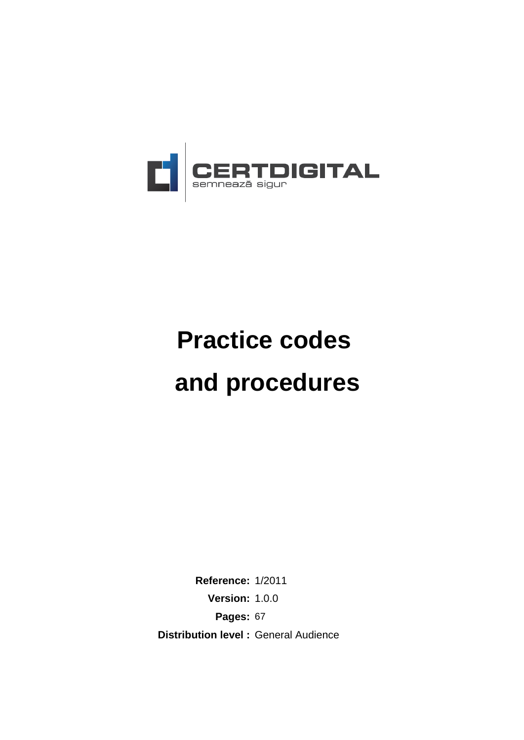

# **Practice codes and procedures**

**Reference:** 1/2011 **Version:** 1.0.0 **Pages:** 67 **Distribution level :** General Audience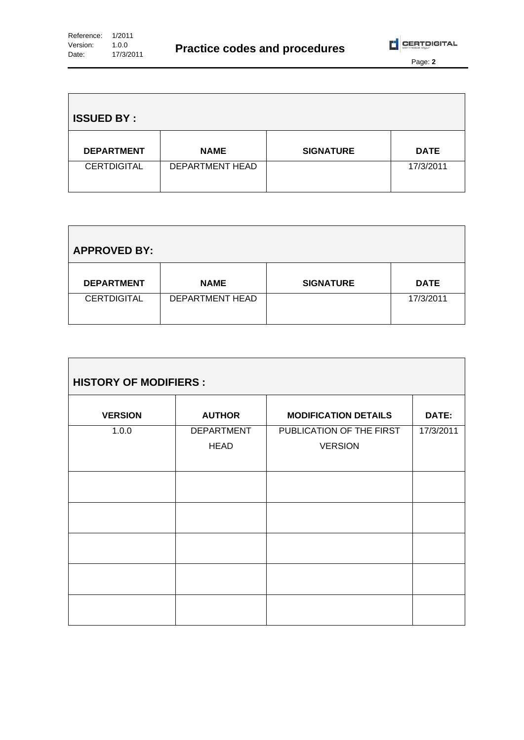**Practice codes and procedures** 

| <b>ISSUED BY:</b>  |                        |                  |             |
|--------------------|------------------------|------------------|-------------|
| <b>DEPARTMENT</b>  | <b>NAME</b>            | <b>SIGNATURE</b> | <b>DATE</b> |
| <b>CERTDIGITAL</b> | <b>DEPARTMENT HEAD</b> |                  | 17/3/2011   |

| <b>APPROVED BY:</b> |                 |                  |             |  |
|---------------------|-----------------|------------------|-------------|--|
| <b>DEPARTMENT</b>   | <b>NAME</b>     | <b>SIGNATURE</b> | <b>DATE</b> |  |
| <b>CERTDIGITAL</b>  | DEPARTMENT HEAD |                  | 17/3/2011   |  |

| <b>HISTORY OF MODIFIERS:</b> |                                  |                                            |           |  |  |
|------------------------------|----------------------------------|--------------------------------------------|-----------|--|--|
| <b>VERSION</b>               | <b>AUTHOR</b>                    | <b>MODIFICATION DETAILS</b>                | DATE:     |  |  |
| 1.0.0                        | <b>DEPARTMENT</b><br><b>HEAD</b> | PUBLICATION OF THE FIRST<br><b>VERSION</b> | 17/3/2011 |  |  |
|                              |                                  |                                            |           |  |  |
|                              |                                  |                                            |           |  |  |
|                              |                                  |                                            |           |  |  |
|                              |                                  |                                            |           |  |  |
|                              |                                  |                                            |           |  |  |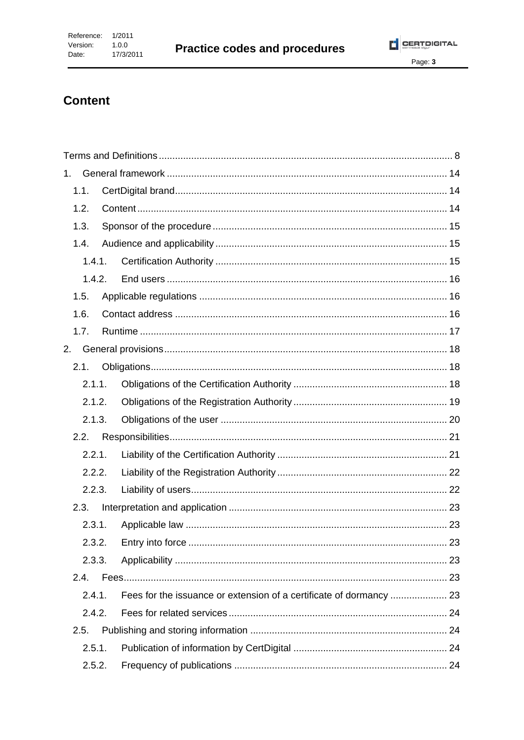**CERTDIGITAL** 

## **Content**

| 1. |        |                                                                     |  |
|----|--------|---------------------------------------------------------------------|--|
|    | 1.1.   |                                                                     |  |
|    | 1.2.   |                                                                     |  |
|    | 1.3.   |                                                                     |  |
|    | 1.4.   |                                                                     |  |
|    | 1.4.1. |                                                                     |  |
|    | 1.4.2. |                                                                     |  |
|    | 1.5.   |                                                                     |  |
|    | 1.6.   |                                                                     |  |
|    | 1.7.   |                                                                     |  |
| 2. |        |                                                                     |  |
|    | 2.1.   |                                                                     |  |
|    | 2.1.1. |                                                                     |  |
|    | 2.1.2. |                                                                     |  |
|    | 2.1.3. |                                                                     |  |
|    | 2.2.   |                                                                     |  |
|    | 2.2.1. |                                                                     |  |
|    | 2.2.2. |                                                                     |  |
|    | 2.2.3. |                                                                     |  |
|    | 2.3.   |                                                                     |  |
|    | 2.3.1. |                                                                     |  |
|    |        |                                                                     |  |
|    | 2.3.3. |                                                                     |  |
|    | 2.4.   |                                                                     |  |
|    | 2.4.1. | Fees for the issuance or extension of a certificate of dormancy  23 |  |
|    | 2.4.2. |                                                                     |  |
|    | 2.5.   |                                                                     |  |
|    | 2.5.1. |                                                                     |  |
|    | 2.5.2. |                                                                     |  |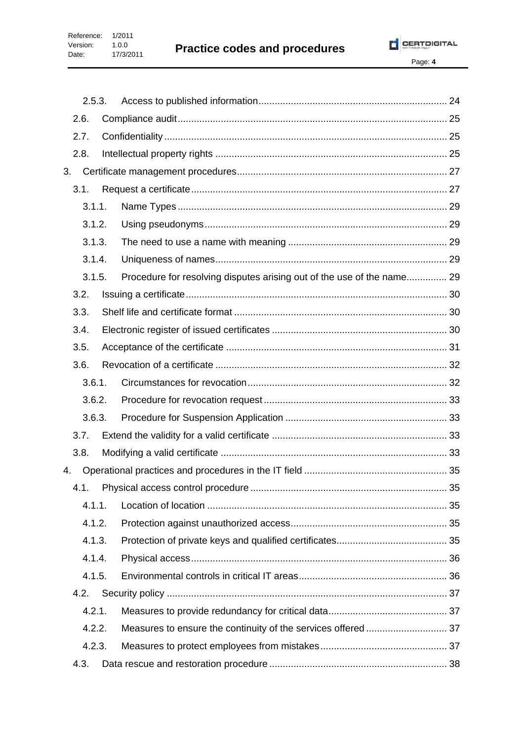|    | 2.5.3. |                                                                        |  |
|----|--------|------------------------------------------------------------------------|--|
|    | 2.6.   |                                                                        |  |
|    | 2.7.   |                                                                        |  |
|    | 2.8.   |                                                                        |  |
| 3. |        |                                                                        |  |
|    | 3.1.   |                                                                        |  |
|    | 3.1.1. |                                                                        |  |
|    | 3.1.2. |                                                                        |  |
|    | 3.1.3. |                                                                        |  |
|    | 3.1.4. |                                                                        |  |
|    | 3.1.5. | Procedure for resolving disputes arising out of the use of the name 29 |  |
|    | 3.2.   |                                                                        |  |
|    | 3.3.   |                                                                        |  |
|    | 3.4.   |                                                                        |  |
|    | 3.5.   |                                                                        |  |
|    | 3.6.   |                                                                        |  |
|    | 3.6.1. |                                                                        |  |
|    | 3.6.2. |                                                                        |  |
|    | 3.6.3. |                                                                        |  |
|    | 3.7.   |                                                                        |  |
|    | 3.8.   |                                                                        |  |
| 4. |        |                                                                        |  |
|    |        |                                                                        |  |
|    | 4.1.1. |                                                                        |  |
|    | 4.1.2. |                                                                        |  |
|    | 4.1.3. |                                                                        |  |
|    | 4.1.4. |                                                                        |  |
|    | 4.1.5. |                                                                        |  |
|    | 4.2.   |                                                                        |  |
|    | 4.2.1. |                                                                        |  |
|    | 4.2.2. |                                                                        |  |
|    | 4.2.3. |                                                                        |  |
|    | 4.3.   |                                                                        |  |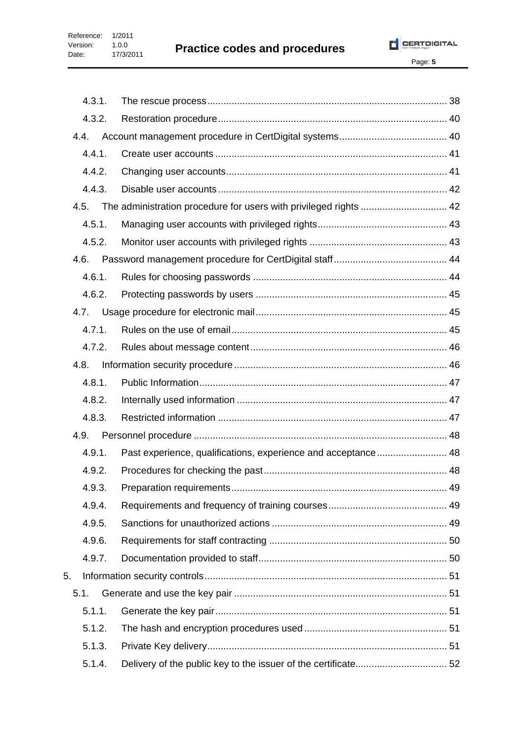|    |      | 4.3.1. |                                                                   |    |
|----|------|--------|-------------------------------------------------------------------|----|
|    |      | 4.3.2. |                                                                   |    |
|    | 4.4. |        |                                                                   |    |
|    |      | 4.4.1. |                                                                   |    |
|    |      | 4.4.2. |                                                                   |    |
|    |      | 4.4.3. |                                                                   |    |
|    | 4.5. |        | The administration procedure for users with privileged rights  42 |    |
|    |      | 4.5.1. |                                                                   |    |
|    |      | 4.5.2. |                                                                   |    |
|    | 4.6. |        |                                                                   |    |
|    |      | 4.6.1. |                                                                   |    |
|    |      | 4.6.2. |                                                                   |    |
|    | 4.7. |        |                                                                   |    |
|    |      | 4.7.1. |                                                                   |    |
|    |      | 4.7.2. |                                                                   |    |
|    | 4.8. |        |                                                                   |    |
|    |      | 4.8.1. |                                                                   |    |
|    |      | 4.8.2. |                                                                   |    |
|    |      | 4.8.3. |                                                                   |    |
|    | 4.9. |        |                                                                   |    |
|    |      | 4.9.1. | Past experience, qualifications, experience and acceptance 48     |    |
|    |      | 4.9.2. |                                                                   |    |
|    |      | 4.9.3. |                                                                   | 49 |
|    |      | 4.9.4. |                                                                   |    |
|    |      | 4.9.5. |                                                                   |    |
|    |      | 4.9.6. |                                                                   |    |
|    |      | 4.9.7. |                                                                   |    |
| 5. |      |        |                                                                   |    |
|    | 5.1. |        |                                                                   |    |
|    |      | 5.1.1. |                                                                   |    |
|    |      | 5.1.2. |                                                                   |    |
|    |      | 5.1.3. |                                                                   |    |
|    |      | 5.1.4. |                                                                   |    |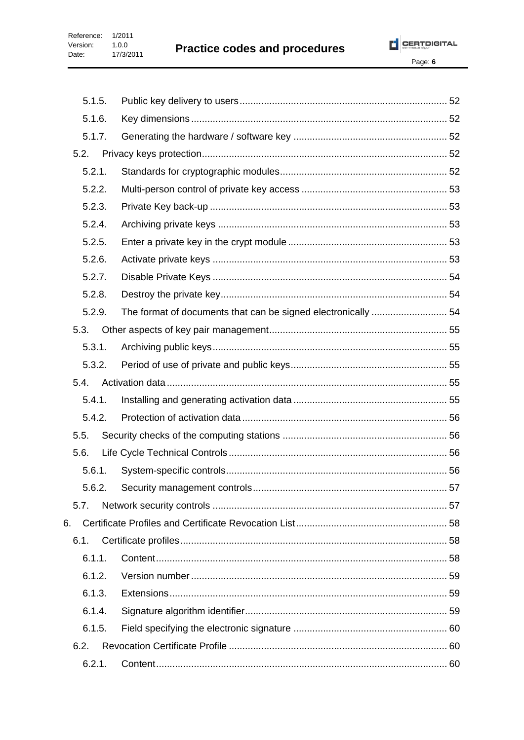|    | 5.1.5. |        |  |
|----|--------|--------|--|
|    | 5.1.6. |        |  |
|    | 5.1.7. |        |  |
|    | 5.2.   |        |  |
|    | 5.2.1. |        |  |
|    | 5.2.2. |        |  |
|    | 5.2.3. |        |  |
|    | 5.2.4. |        |  |
|    | 5.2.5. |        |  |
|    | 5.2.6. |        |  |
|    | 5.2.7. |        |  |
|    | 5.2.8. |        |  |
|    | 5.2.9. |        |  |
|    | 5.3.   |        |  |
|    | 5.3.1. |        |  |
|    | 5.3.2. |        |  |
|    | 5.4.   |        |  |
|    | 5.4.1. |        |  |
|    | 5.4.2. |        |  |
|    | 5.5.   |        |  |
|    | 5.6.   |        |  |
|    | 5.6.1. |        |  |
|    |        | 5.6.2. |  |
|    | 5.7.   |        |  |
| 6. |        |        |  |
|    | 6.1.   |        |  |
|    | 6.1.1. |        |  |
|    | 6.1.2. |        |  |
|    | 6.1.3. |        |  |
|    | 6.1.4. |        |  |
|    | 6.1.5. |        |  |
|    | 6.2.   |        |  |
|    | 6.2.1. |        |  |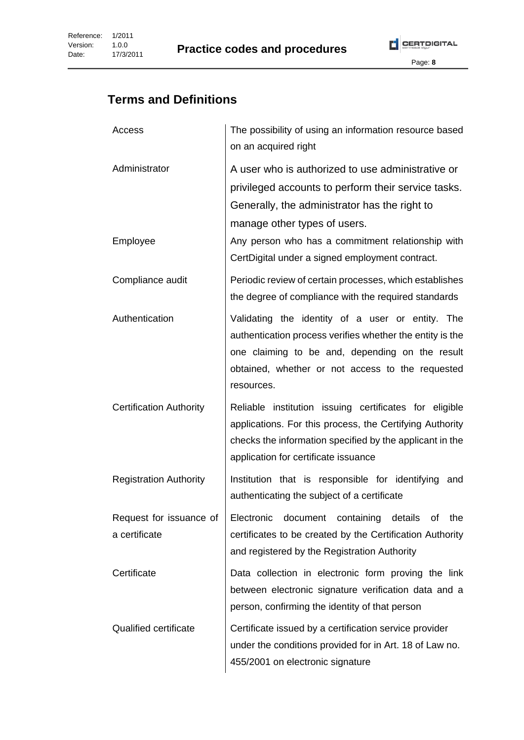Page: **8**

## <span id="page-7-0"></span>**Terms and Definitions**

| Access                         | The possibility of using an information resource based<br>on an acquired right                                                                                                                                                     |
|--------------------------------|------------------------------------------------------------------------------------------------------------------------------------------------------------------------------------------------------------------------------------|
| Administrator                  | A user who is authorized to use administrative or<br>privileged accounts to perform their service tasks.<br>Generally, the administrator has the right to<br>manage other types of users.                                          |
| Employee                       | Any person who has a commitment relationship with<br>CertDigital under a signed employment contract.                                                                                                                               |
| Compliance audit               | Periodic review of certain processes, which establishes<br>the degree of compliance with the required standards                                                                                                                    |
| Authentication                 | Validating the identity of a user or entity. The<br>authentication process verifies whether the entity is the<br>one claiming to be and, depending on the result<br>obtained, whether or not access to the requested<br>resources. |
| <b>Certification Authority</b> | Reliable institution issuing certificates for eligible<br>applications. For this process, the Certifying Authority<br>checks the information specified by the applicant in the<br>application for certificate issuance             |
| <b>Registration Authority</b>  | Institution that is responsible for identifying and<br>authenticating the subject of a certificate                                                                                                                                 |
| a certificate                  | Request for issuance of   Electronic document containing details of the<br>certificates to be created by the Certification Authority<br>and registered by the Registration Authority                                               |
| Certificate                    | Data collection in electronic form proving the link<br>between electronic signature verification data and a<br>person, confirming the identity of that person                                                                      |
| <b>Qualified certificate</b>   | Certificate issued by a certification service provider<br>under the conditions provided for in Art. 18 of Law no.<br>455/2001 on electronic signature                                                                              |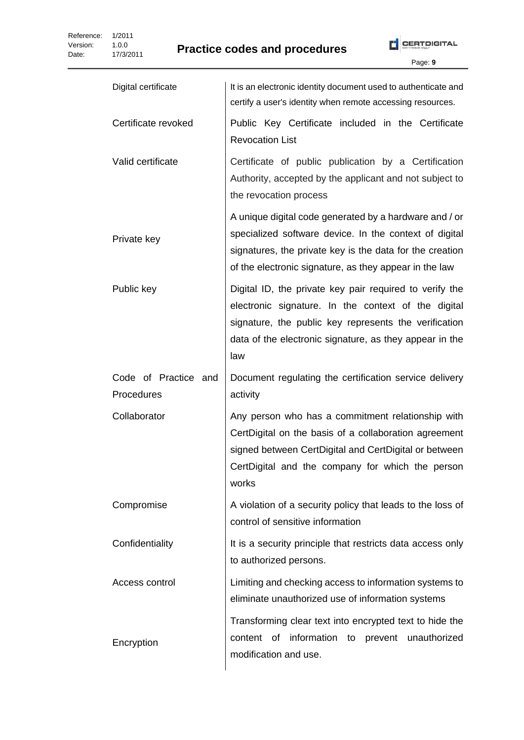#### Reference: 1/2011 Version: Date: 1.0.0<br>17/3/2011

| Digital certificate                | It is an electronic identity document used to authenticate and<br>certify a user's identity when remote accessing resources.                                                                                                              |
|------------------------------------|-------------------------------------------------------------------------------------------------------------------------------------------------------------------------------------------------------------------------------------------|
| Certificate revoked                | Public Key Certificate included in the Certificate<br><b>Revocation List</b>                                                                                                                                                              |
| Valid certificate                  | Certificate of public publication by a Certification<br>Authority, accepted by the applicant and not subject to<br>the revocation process                                                                                                 |
| Private key                        | A unique digital code generated by a hardware and / or<br>specialized software device. In the context of digital<br>signatures, the private key is the data for the creation<br>of the electronic signature, as they appear in the law    |
| Public key                         | Digital ID, the private key pair required to verify the<br>electronic signature. In the context of the digital<br>signature, the public key represents the verification<br>data of the electronic signature, as they appear in the<br>law |
| Code of Practice and<br>Procedures | Document regulating the certification service delivery<br>activity                                                                                                                                                                        |
| Collaborator                       | Any person who has a commitment relationship with<br>CertDigital on the basis of a collaboration agreement<br>signed between CertDigital and CertDigital or between<br>CertDigital and the company for which the person<br>works          |
| Compromise                         | A violation of a security policy that leads to the loss of<br>control of sensitive information                                                                                                                                            |
| Confidentiality                    | It is a security principle that restricts data access only<br>to authorized persons.                                                                                                                                                      |
| Access control                     | Limiting and checking access to information systems to<br>eliminate unauthorized use of information systems                                                                                                                               |
| Encryption                         | Transforming clear text into encrypted text to hide the                                                                                                                                                                                   |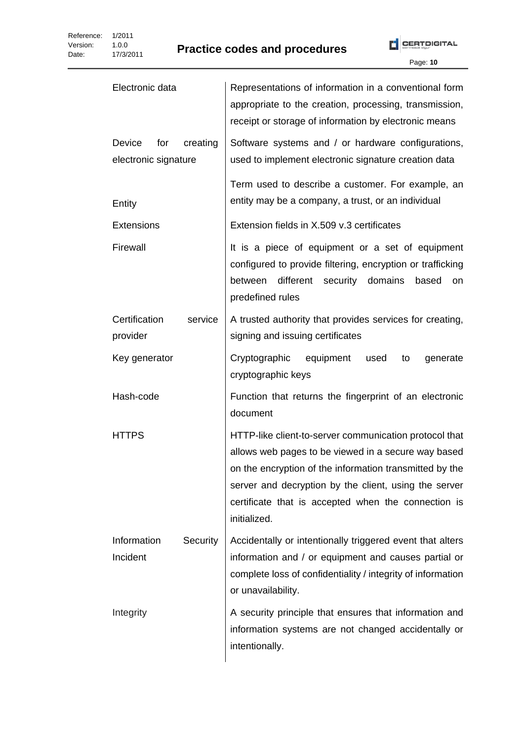| Electronic data                                   | Representations of information in a conventional form<br>appropriate to the creation, processing, transmission,<br>receipt or storage of information by electronic means                                                                                                                                 |
|---------------------------------------------------|----------------------------------------------------------------------------------------------------------------------------------------------------------------------------------------------------------------------------------------------------------------------------------------------------------|
| creating<br>Device<br>for<br>electronic signature | Software systems and / or hardware configurations,<br>used to implement electronic signature creation data                                                                                                                                                                                               |
| Entity                                            | Term used to describe a customer. For example, an<br>entity may be a company, a trust, or an individual                                                                                                                                                                                                  |
| <b>Extensions</b>                                 | Extension fields in X.509 v.3 certificates                                                                                                                                                                                                                                                               |
| Firewall                                          | It is a piece of equipment or a set of equipment<br>configured to provide filtering, encryption or trafficking<br>domains<br>between<br>different<br>security<br>based<br><b>on</b><br>predefined rules                                                                                                  |
| Certification<br>service<br>provider              | A trusted authority that provides services for creating,<br>signing and issuing certificates                                                                                                                                                                                                             |
| Key generator                                     | Cryptographic<br>equipment<br>used<br>to<br>generate<br>cryptographic keys                                                                                                                                                                                                                               |
| Hash-code                                         | Function that returns the fingerprint of an electronic<br>document                                                                                                                                                                                                                                       |
| <b>HTTPS</b>                                      | HTTP-like client-to-server communication protocol that<br>allows web pages to be viewed in a secure way based<br>on the encryption of the information transmitted by the<br>server and decryption by the client, using the server<br>certificate that is accepted when the connection is<br>initialized. |
| Information<br>Security<br>Incident               | Accidentally or intentionally triggered event that alters<br>information and / or equipment and causes partial or<br>complete loss of confidentiality / integrity of information<br>or unavailability.                                                                                                   |
| Integrity                                         | A security principle that ensures that information and<br>information systems are not changed accidentally or<br>intentionally.                                                                                                                                                                          |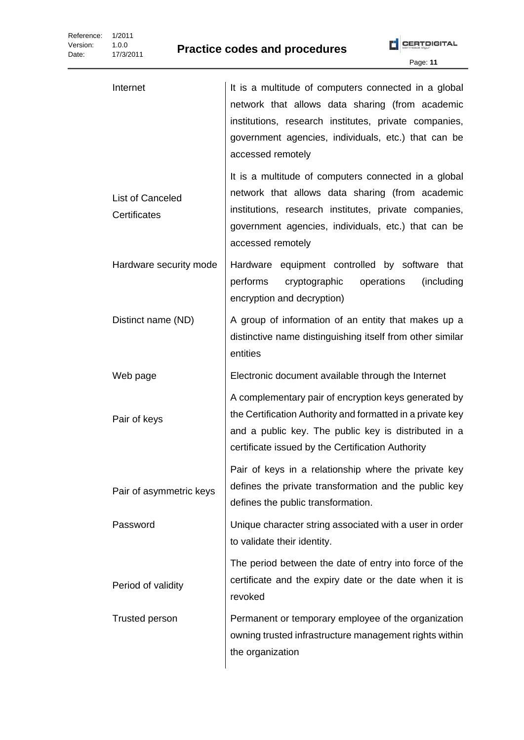| Internet                         | It is a multitude of computers connected in a global<br>network that allows data sharing (from academic<br>institutions, research institutes, private companies,<br>government agencies, individuals, etc.) that can be<br>accessed remotely |  |
|----------------------------------|----------------------------------------------------------------------------------------------------------------------------------------------------------------------------------------------------------------------------------------------|--|
| List of Canceled<br>Certificates | It is a multitude of computers connected in a global<br>network that allows data sharing (from academic<br>institutions, research institutes, private companies,<br>government agencies, individuals, etc.) that can be<br>accessed remotely |  |
| Hardware security mode           | Hardware equipment controlled by software that<br>performs<br>cryptographic<br>operations<br>(including<br>encryption and decryption)                                                                                                        |  |
| Distinct name (ND)               | A group of information of an entity that makes up a<br>distinctive name distinguishing itself from other similar<br>entities                                                                                                                 |  |
| Web page                         | Electronic document available through the Internet                                                                                                                                                                                           |  |
| Pair of keys                     | A complementary pair of encryption keys generated by<br>the Certification Authority and formatted in a private key<br>and a public key. The public key is distributed in a<br>certificate issued by the Certification Authority              |  |
| Pair of asymmetric keys          | Pair of keys in a relationship where the private key<br>defines the private transformation and the public key<br>defines the public transformation.                                                                                          |  |
| Password                         | Unique character string associated with a user in order<br>to validate their identity.                                                                                                                                                       |  |
| Period of validity               | The period between the date of entry into force of the<br>certificate and the expiry date or the date when it is<br>revoked                                                                                                                  |  |
| <b>Trusted person</b>            | Permanent or temporary employee of the organization<br>owning trusted infrastructure management rights within<br>the organization                                                                                                            |  |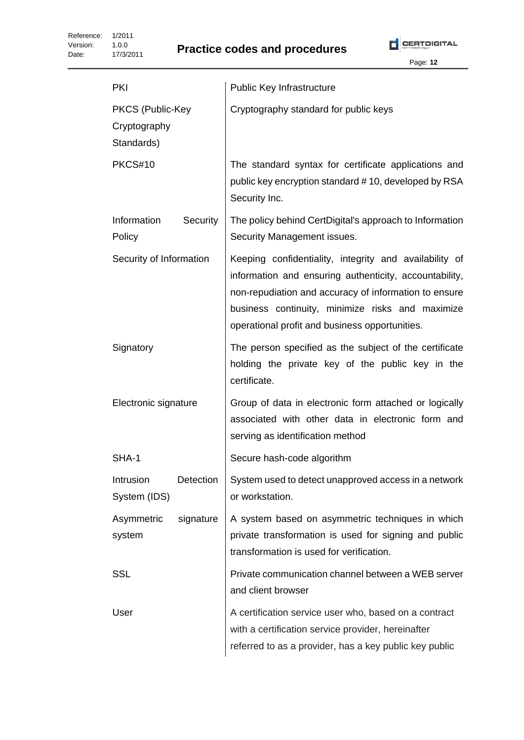

Page: **12**

| PKI                                            | <b>Public Key Infrastructure</b>                                                                                                                                                                                                                                                |
|------------------------------------------------|---------------------------------------------------------------------------------------------------------------------------------------------------------------------------------------------------------------------------------------------------------------------------------|
| PKCS (Public-Key<br>Cryptography<br>Standards) | Cryptography standard for public keys                                                                                                                                                                                                                                           |
| PKCS#10                                        | The standard syntax for certificate applications and<br>public key encryption standard #10, developed by RSA<br>Security Inc.                                                                                                                                                   |
| Information<br>Security<br>Policy              | The policy behind CertDigital's approach to Information<br>Security Management issues.                                                                                                                                                                                          |
| Security of Information                        | Keeping confidentiality, integrity and availability of<br>information and ensuring authenticity, accountability,<br>non-repudiation and accuracy of information to ensure<br>business continuity, minimize risks and maximize<br>operational profit and business opportunities. |
| Signatory                                      | The person specified as the subject of the certificate<br>holding the private key of the public key in the<br>certificate.                                                                                                                                                      |
| Electronic signature                           | Group of data in electronic form attached or logically<br>associated with other data in electronic form and<br>serving as identification method                                                                                                                                 |
| SHA-1                                          | Secure hash-code algorithm                                                                                                                                                                                                                                                      |
| Intrusion<br>Detection<br>System (IDS)         | System used to detect unapproved access in a network<br>or workstation.                                                                                                                                                                                                         |
| Asymmetric<br>signature<br>system              | A system based on asymmetric techniques in which<br>private transformation is used for signing and public<br>transformation is used for verification.                                                                                                                           |
| <b>SSL</b>                                     | Private communication channel between a WEB server<br>and client browser                                                                                                                                                                                                        |
| User                                           | A certification service user who, based on a contract<br>with a certification service provider, hereinafter<br>referred to as a provider, has a key public key public                                                                                                           |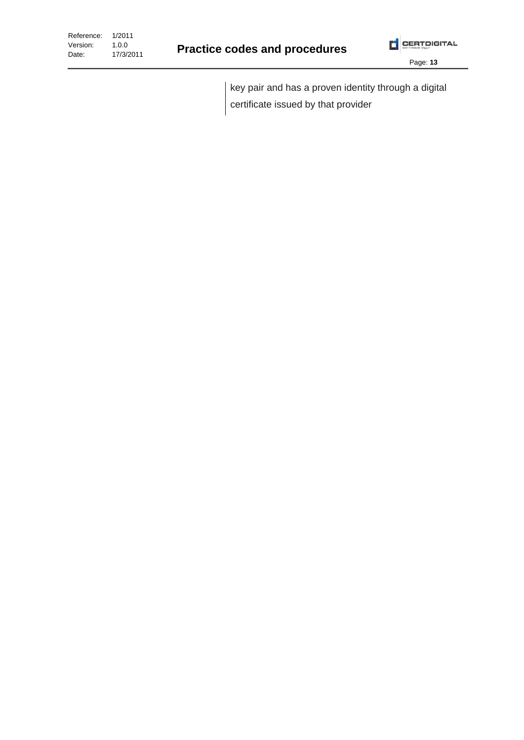

key pair and has a proven identity through a digital certificate issued by that provider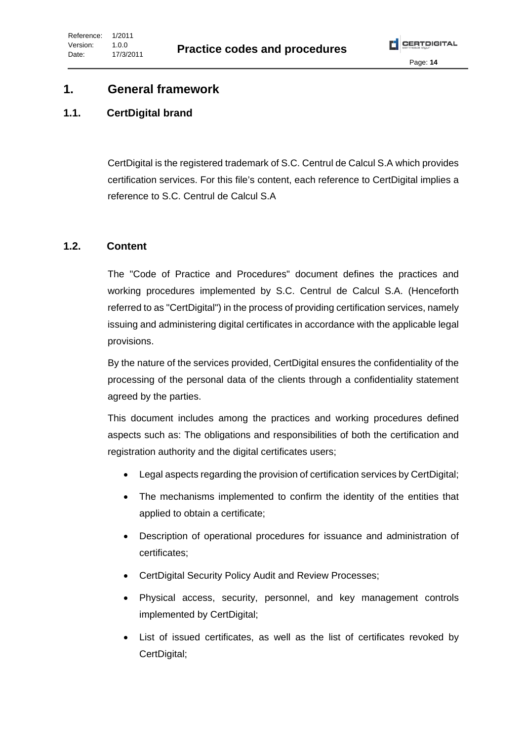#### <span id="page-13-1"></span><span id="page-13-0"></span>**1.1. CertDigital brand**

CertDigital is the registered trademark of S.C. Centrul de Calcul S.A which provides certification services. For this file's content, each reference to CertDigital implies a reference to S.C. Centrul de Calcul S.A

#### <span id="page-13-2"></span>**1.2. Content**

The "Code of Practice and Procedures" document defines the practices and working procedures implemented by S.C. Centrul de Calcul S.A. (Henceforth referred to as "CertDigital") in the process of providing certification services, namely issuing and administering digital certificates in accordance with the applicable legal provisions.

By the nature of the services provided, CertDigital ensures the confidentiality of the processing of the personal data of the clients through a confidentiality statement agreed by the parties.

This document includes among the practices and working procedures defined aspects such as: The obligations and responsibilities of both the certification and registration authority and the digital certificates users;

- Legal aspects regarding the provision of certification services by CertDigital;
- The mechanisms implemented to confirm the identity of the entities that applied to obtain a certificate;
- Description of operational procedures for issuance and administration of certificates;
- CertDigital Security Policy Audit and Review Processes;
- Physical access, security, personnel, and key management controls implemented by CertDigital;
- List of issued certificates, as well as the list of certificates revoked by CertDigital;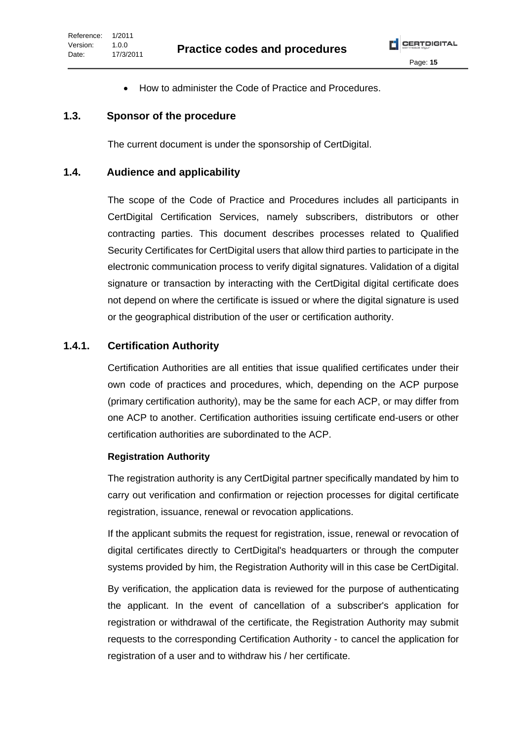• How to administer the Code of Practice and Procedures.

#### <span id="page-14-0"></span>**1.3. Sponsor of the procedure**

The current document is under the sponsorship of CertDigital.

#### <span id="page-14-1"></span>**1.4. Audience and applicability**

The scope of the Code of Practice and Procedures includes all participants in CertDigital Certification Services, namely subscribers, distributors or other contracting parties. This document describes processes related to Qualified Security Certificates for CertDigital users that allow third parties to participate in the electronic communication process to verify digital signatures. Validation of a digital signature or transaction by interacting with the CertDigital digital certificate does not depend on where the certificate is issued or where the digital signature is used or the geographical distribution of the user or certification authority.

#### <span id="page-14-2"></span>**1.4.1. Certification Authority**

Certification Authorities are all entities that issue qualified certificates under their own code of practices and procedures, which, depending on the ACP purpose (primary certification authority), may be the same for each ACP, or may differ from one ACP to another. Certification authorities issuing certificate end-users or other certification authorities are subordinated to the ACP.

#### **Registration Authority**

The registration authority is any CertDigital partner specifically mandated by him to carry out verification and confirmation or rejection processes for digital certificate registration, issuance, renewal or revocation applications.

If the applicant submits the request for registration, issue, renewal or revocation of digital certificates directly to CertDigital's headquarters or through the computer systems provided by him, the Registration Authority will in this case be CertDigital.

By verification, the application data is reviewed for the purpose of authenticating the applicant. In the event of cancellation of a subscriber's application for registration or withdrawal of the certificate, the Registration Authority may submit requests to the corresponding Certification Authority - to cancel the application for registration of a user and to withdraw his / her certificate.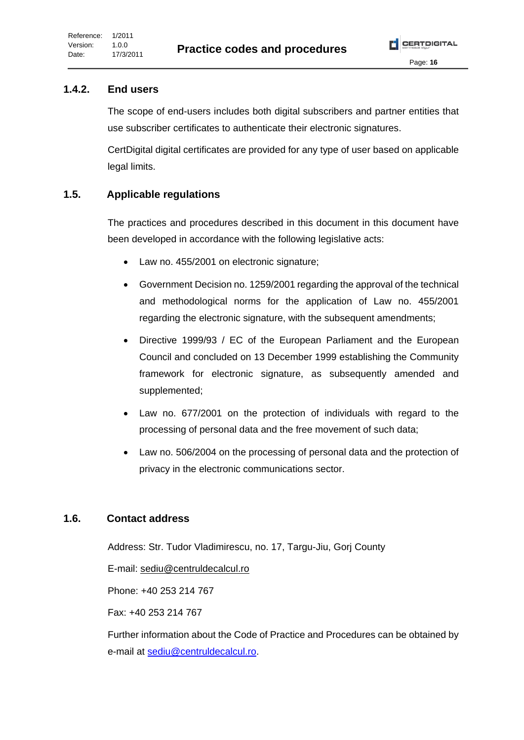#### <span id="page-15-0"></span>**1.4.2. End users**

The scope of end-users includes both digital subscribers and partner entities that use subscriber certificates to authenticate their electronic signatures.

CertDigital digital certificates are provided for any type of user based on applicable legal limits.

#### <span id="page-15-1"></span>**1.5. Applicable regulations**

The practices and procedures described in this document in this document have been developed in accordance with the following legislative acts:

- Law no. 455/2001 on electronic signature;
- Government Decision no. 1259/2001 regarding the approval of the technical and methodological norms for the application of Law no. 455/2001 regarding the electronic signature, with the subsequent amendments;
- Directive 1999/93 / EC of the European Parliament and the European Council and concluded on 13 December 1999 establishing the Community framework for electronic signature, as subsequently amended and supplemented;
- Law no. 677/2001 on the protection of individuals with regard to the processing of personal data and the free movement of such data;
- Law no. 506/2004 on the processing of personal data and the protection of privacy in the electronic communications sector.

#### <span id="page-15-2"></span>**1.6. Contact address**

Address: Str. Tudor Vladimirescu, no. 17, Targu-Jiu, Gorj County

E-mail: sediu@centruldecalcul.ro

Phone: +40 253 214 767

Fax: +40 253 214 767

Further information about the Code of Practice and Procedures can be obtained by e-mail at [sediu@centruldecalcul.ro.](mailto:sediu@centruldecalcul.ro)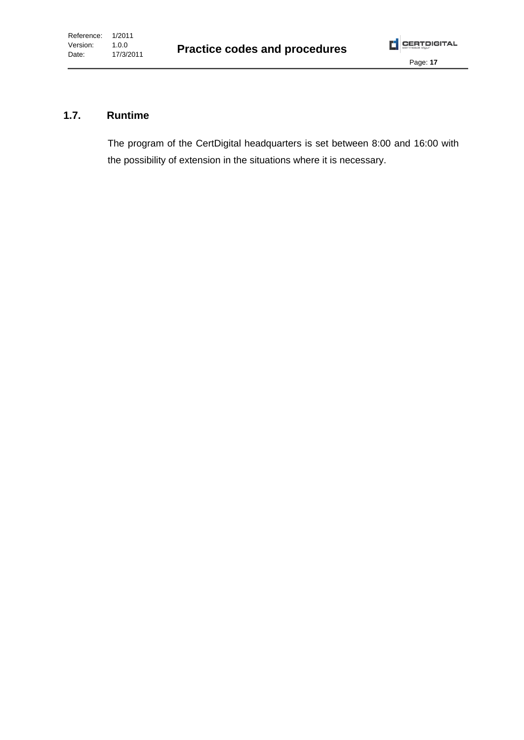

## <span id="page-16-0"></span>**1.7. Runtime**

The program of the CertDigital headquarters is set between 8:00 and 16:00 with the possibility of extension in the situations where it is necessary.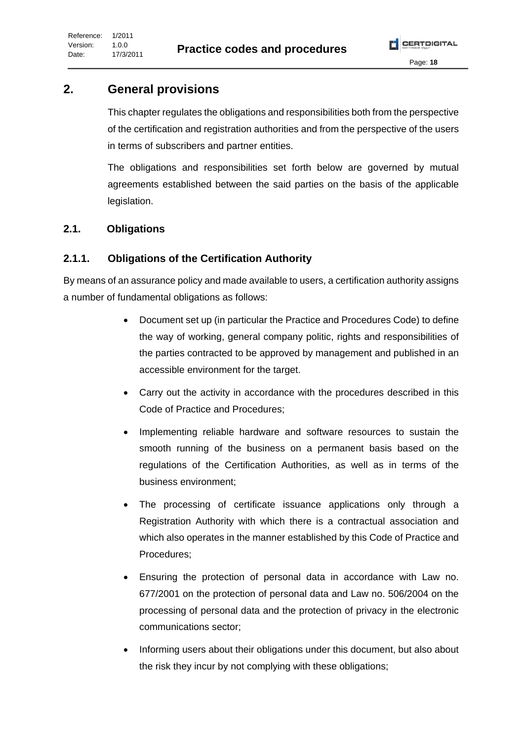## <span id="page-17-0"></span>**2. General provisions**

This chapter regulates the obligations and responsibilities both from the perspective of the certification and registration authorities and from the perspective of the users in terms of subscribers and partner entities.

The obligations and responsibilities set forth below are governed by mutual agreements established between the said parties on the basis of the applicable legislation.

#### <span id="page-17-1"></span>**2.1. Obligations**

#### <span id="page-17-2"></span>**2.1.1. Obligations of the Certification Authority**

By means of an assurance policy and made available to users, a certification authority assigns a number of fundamental obligations as follows:

- Document set up (in particular the Practice and Procedures Code) to define the way of working, general company politic, rights and responsibilities of the parties contracted to be approved by management and published in an accessible environment for the target.
- Carry out the activity in accordance with the procedures described in this Code of Practice and Procedures;
- Implementing reliable hardware and software resources to sustain the smooth running of the business on a permanent basis based on the regulations of the Certification Authorities, as well as in terms of the business environment;
- The processing of certificate issuance applications only through a Registration Authority with which there is a contractual association and which also operates in the manner established by this Code of Practice and Procedures;
- Ensuring the protection of personal data in accordance with Law no. 677/2001 on the protection of personal data and Law no. 506/2004 on the processing of personal data and the protection of privacy in the electronic communications sector;
- Informing users about their obligations under this document, but also about the risk they incur by not complying with these obligations;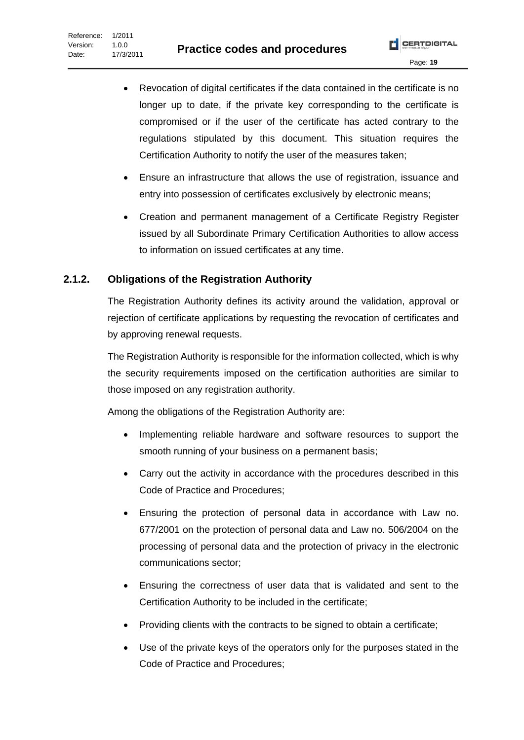- Revocation of digital certificates if the data contained in the certificate is no longer up to date, if the private key corresponding to the certificate is compromised or if the user of the certificate has acted contrary to the regulations stipulated by this document. This situation requires the Certification Authority to notify the user of the measures taken;
- Ensure an infrastructure that allows the use of registration, issuance and entry into possession of certificates exclusively by electronic means;
- Creation and permanent management of a Certificate Registry Register issued by all Subordinate Primary Certification Authorities to allow access to information on issued certificates at any time.

#### <span id="page-18-0"></span>**2.1.2. Obligations of the Registration Authority**

The Registration Authority defines its activity around the validation, approval or rejection of certificate applications by requesting the revocation of certificates and by approving renewal requests.

The Registration Authority is responsible for the information collected, which is why the security requirements imposed on the certification authorities are similar to those imposed on any registration authority.

Among the obligations of the Registration Authority are:

- Implementing reliable hardware and software resources to support the smooth running of your business on a permanent basis;
- Carry out the activity in accordance with the procedures described in this Code of Practice and Procedures;
- Ensuring the protection of personal data in accordance with Law no. 677/2001 on the protection of personal data and Law no. 506/2004 on the processing of personal data and the protection of privacy in the electronic communications sector;
- Ensuring the correctness of user data that is validated and sent to the Certification Authority to be included in the certificate;
- Providing clients with the contracts to be signed to obtain a certificate;
- Use of the private keys of the operators only for the purposes stated in the Code of Practice and Procedures;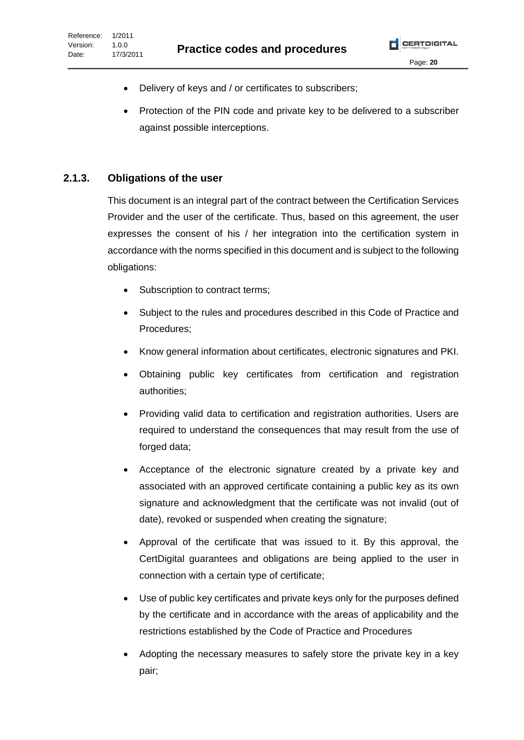- Delivery of keys and / or certificates to subscribers;
- Protection of the PIN code and private key to be delivered to a subscriber against possible interceptions.

#### <span id="page-19-0"></span>**2.1.3. Obligations of the user**

This document is an integral part of the contract between the Certification Services Provider and the user of the certificate. Thus, based on this agreement, the user expresses the consent of his / her integration into the certification system in accordance with the norms specified in this document and is subject to the following obligations:

- Subscription to contract terms;
- Subject to the rules and procedures described in this Code of Practice and Procedures;
- Know general information about certificates, electronic signatures and PKI.
- Obtaining public key certificates from certification and registration authorities;
- Providing valid data to certification and registration authorities. Users are required to understand the consequences that may result from the use of forged data;
- Acceptance of the electronic signature created by a private key and associated with an approved certificate containing a public key as its own signature and acknowledgment that the certificate was not invalid (out of date), revoked or suspended when creating the signature;
- Approval of the certificate that was issued to it. By this approval, the CertDigital guarantees and obligations are being applied to the user in connection with a certain type of certificate;
- Use of public key certificates and private keys only for the purposes defined by the certificate and in accordance with the areas of applicability and the restrictions established by the Code of Practice and Procedures
- Adopting the necessary measures to safely store the private key in a key pair;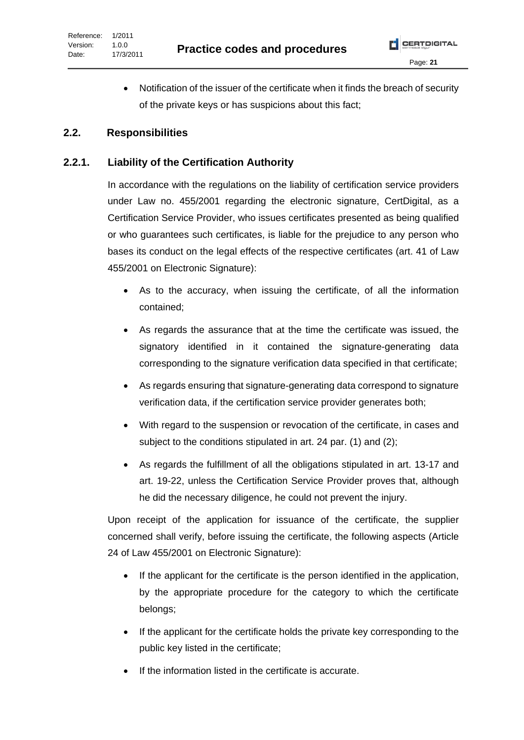**CERTOIGITAL** 

• Notification of the issuer of the certificate when it finds the breach of security of the private keys or has suspicions about this fact;

#### <span id="page-20-0"></span>**2.2. Responsibilities**

#### <span id="page-20-1"></span>**2.2.1. Liability of the Certification Authority**

In accordance with the regulations on the liability of certification service providers under Law no. 455/2001 regarding the electronic signature, CertDigital, as a Certification Service Provider, who issues certificates presented as being qualified or who guarantees such certificates, is liable for the prejudice to any person who bases its conduct on the legal effects of the respective certificates (art. 41 of Law 455/2001 on Electronic Signature):

- As to the accuracy, when issuing the certificate, of all the information contained;
- As regards the assurance that at the time the certificate was issued, the signatory identified in it contained the signature-generating data corresponding to the signature verification data specified in that certificate;
- As regards ensuring that signature-generating data correspond to signature verification data, if the certification service provider generates both;
- With regard to the suspension or revocation of the certificate, in cases and subject to the conditions stipulated in art. 24 par. (1) and (2);
- As regards the fulfillment of all the obligations stipulated in art. 13-17 and art. 19-22, unless the Certification Service Provider proves that, although he did the necessary diligence, he could not prevent the injury.

Upon receipt of the application for issuance of the certificate, the supplier concerned shall verify, before issuing the certificate, the following aspects (Article 24 of Law 455/2001 on Electronic Signature):

- If the applicant for the certificate is the person identified in the application, by the appropriate procedure for the category to which the certificate belongs;
- If the applicant for the certificate holds the private key corresponding to the public key listed in the certificate;
- If the information listed in the certificate is accurate.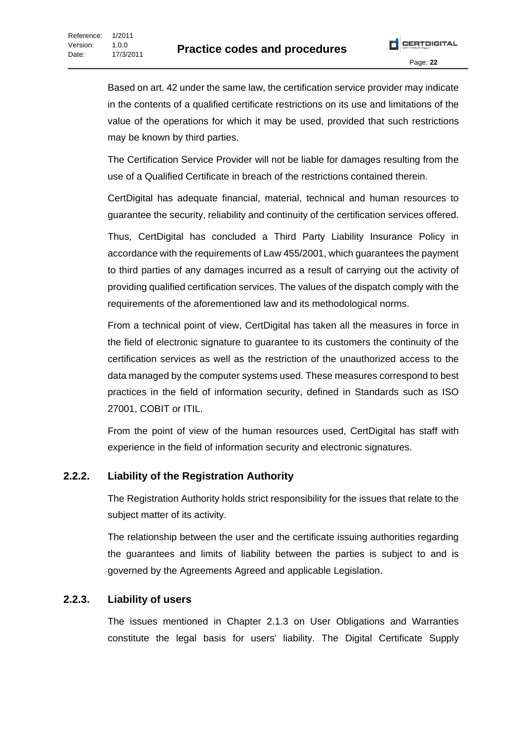Based on art. 42 under the same law, the certification service provider may indicate in the contents of a qualified certificate restrictions on its use and limitations of the value of the operations for which it may be used, provided that such restrictions may be known by third parties.

The Certification Service Provider will not be liable for damages resulting from the use of a Qualified Certificate in breach of the restrictions contained therein.

CertDigital has adequate financial, material, technical and human resources to guarantee the security, reliability and continuity of the certification services offered.

Thus, CertDigital has concluded a Third Party Liability Insurance Policy in accordance with the requirements of Law 455/2001, which guarantees the payment to third parties of any damages incurred as a result of carrying out the activity of providing qualified certification services. The values of the dispatch comply with the requirements of the aforementioned law and its methodological norms.

From a technical point of view, CertDigital has taken all the measures in force in the field of electronic signature to guarantee to its customers the continuity of the certification services as well as the restriction of the unauthorized access to the data managed by the computer systems used. These measures correspond to best practices in the field of information security, defined in Standards such as ISO 27001, COBIT or ITIL.

From the point of view of the human resources used, CertDigital has staff with experience in the field of information security and electronic signatures.

#### <span id="page-21-0"></span>**2.2.2. Liability of the Registration Authority**

The Registration Authority holds strict responsibility for the issues that relate to the subject matter of its activity.

The relationship between the user and the certificate issuing authorities regarding the guarantees and limits of liability between the parties is subject to and is governed by the Agreements Agreed and applicable Legislation.

#### <span id="page-21-1"></span>**2.2.3. Liability of users**

The issues mentioned in Chapter 2.1.3 on User Obligations and Warranties constitute the legal basis for users' liability. The Digital Certificate Supply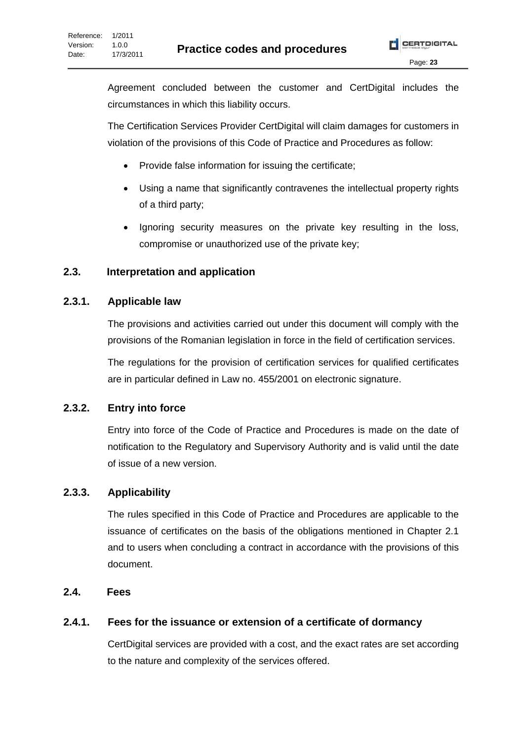Agreement concluded between the customer and CertDigital includes the circumstances in which this liability occurs.

The Certification Services Provider CertDigital will claim damages for customers in violation of the provisions of this Code of Practice and Procedures as follow:

- Provide false information for issuing the certificate;
- Using a name that significantly contravenes the intellectual property rights of a third party;
- Ignoring security measures on the private key resulting in the loss, compromise or unauthorized use of the private key;

#### <span id="page-22-0"></span>**2.3. Interpretation and application**

#### <span id="page-22-1"></span>**2.3.1. Applicable law**

The provisions and activities carried out under this document will comply with the provisions of the Romanian legislation in force in the field of certification services.

The regulations for the provision of certification services for qualified certificates are in particular defined in Law no. 455/2001 on electronic signature.

#### <span id="page-22-2"></span>**2.3.2. Entry into force**

Entry into force of the Code of Practice and Procedures is made on the date of notification to the Regulatory and Supervisory Authority and is valid until the date of issue of a new version.

#### <span id="page-22-3"></span>**2.3.3. Applicability**

The rules specified in this Code of Practice and Procedures are applicable to the issuance of certificates on the basis of the obligations mentioned in Chapter 2.1 and to users when concluding a contract in accordance with the provisions of this document.

#### <span id="page-22-4"></span>**2.4. Fees**

#### <span id="page-22-5"></span>**2.4.1. Fees for the issuance or extension of a certificate of dormancy**

CertDigital services are provided with a cost, and the exact rates are set according to the nature and complexity of the services offered.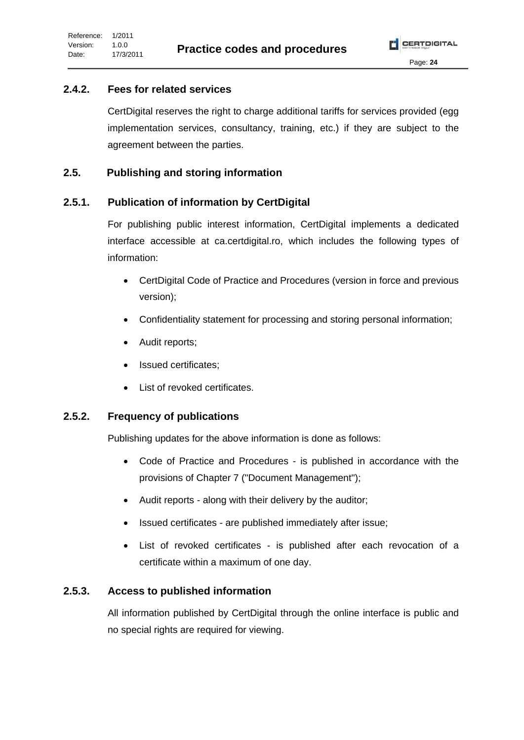#### <span id="page-23-0"></span>**2.4.2. Fees for related services**

CertDigital reserves the right to charge additional tariffs for services provided (egg implementation services, consultancy, training, etc.) if they are subject to the agreement between the parties.

#### <span id="page-23-1"></span>**2.5. Publishing and storing information**

#### <span id="page-23-2"></span>**2.5.1. Publication of information by CertDigital**

For publishing public interest information, CertDigital implements a dedicated interface accessible at ca.certdigital.ro, which includes the following types of information:

- CertDigital Code of Practice and Procedures (version in force and previous version);
- Confidentiality statement for processing and storing personal information;
- Audit reports:
- Issued certificates;
- List of revoked certificates.

#### <span id="page-23-3"></span>**2.5.2. Frequency of publications**

Publishing updates for the above information is done as follows:

- Code of Practice and Procedures is published in accordance with the provisions of Chapter 7 ("Document Management");
- Audit reports along with their delivery by the auditor;
- Issued certificates are published immediately after issue;
- List of revoked certificates is published after each revocation of a certificate within a maximum of one day.

#### <span id="page-23-4"></span>**2.5.3. Access to published information**

All information published by CertDigital through the online interface is public and no special rights are required for viewing.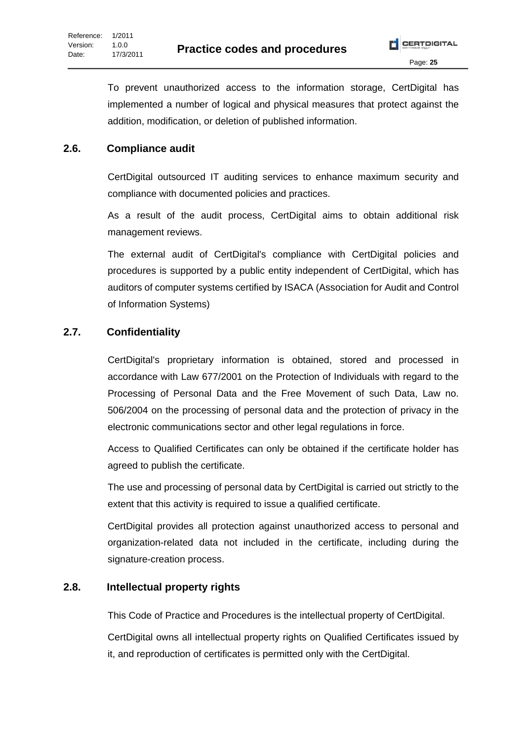To prevent unauthorized access to the information storage, CertDigital has implemented a number of logical and physical measures that protect against the addition, modification, or deletion of published information.

#### <span id="page-24-0"></span>**2.6. Compliance audit**

CertDigital outsourced IT auditing services to enhance maximum security and compliance with documented policies and practices.

As a result of the audit process, CertDigital aims to obtain additional risk management reviews.

The external audit of CertDigital's compliance with CertDigital policies and procedures is supported by a public entity independent of CertDigital, which has auditors of computer systems certified by ISACA (Association for Audit and Control of Information Systems)

#### <span id="page-24-1"></span>**2.7. Confidentiality**

CertDigital's proprietary information is obtained, stored and processed in accordance with Law 677/2001 on the Protection of Individuals with regard to the Processing of Personal Data and the Free Movement of such Data, Law no. 506/2004 on the processing of personal data and the protection of privacy in the electronic communications sector and other legal regulations in force.

Access to Qualified Certificates can only be obtained if the certificate holder has agreed to publish the certificate.

The use and processing of personal data by CertDigital is carried out strictly to the extent that this activity is required to issue a qualified certificate.

CertDigital provides all protection against unauthorized access to personal and organization-related data not included in the certificate, including during the signature-creation process.

#### <span id="page-24-2"></span>**2.8. Intellectual property rights**

This Code of Practice and Procedures is the intellectual property of CertDigital.

CertDigital owns all intellectual property rights on Qualified Certificates issued by it, and reproduction of certificates is permitted only with the CertDigital.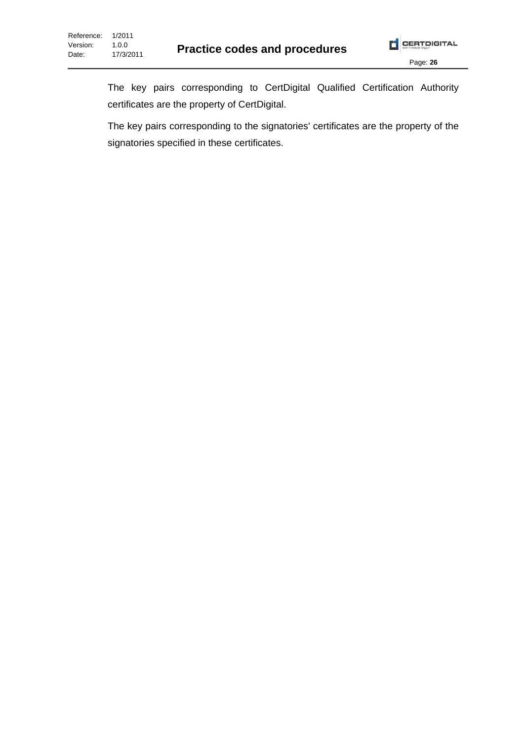The key pairs corresponding to CertDigital Qualified Certification Authority certificates are the property of CertDigital.

The key pairs corresponding to the signatories' certificates are the property of the signatories specified in these certificates.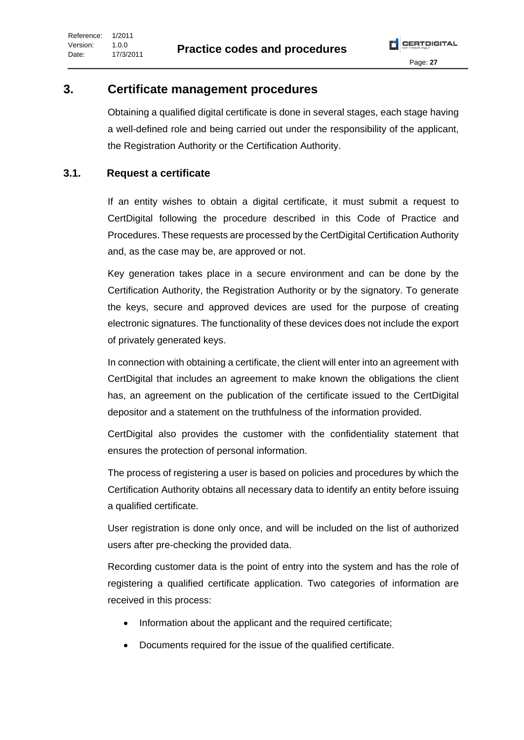

### <span id="page-26-0"></span>**3. Certificate management procedures**

Obtaining a qualified digital certificate is done in several stages, each stage having a well-defined role and being carried out under the responsibility of the applicant, the Registration Authority or the Certification Authority.

#### <span id="page-26-1"></span>**3.1. Request a certificate**

If an entity wishes to obtain a digital certificate, it must submit a request to CertDigital following the procedure described in this Code of Practice and Procedures. These requests are processed by the CertDigital Certification Authority and, as the case may be, are approved or not.

Key generation takes place in a secure environment and can be done by the Certification Authority, the Registration Authority or by the signatory. To generate the keys, secure and approved devices are used for the purpose of creating electronic signatures. The functionality of these devices does not include the export of privately generated keys.

In connection with obtaining a certificate, the client will enter into an agreement with CertDigital that includes an agreement to make known the obligations the client has, an agreement on the publication of the certificate issued to the CertDigital depositor and a statement on the truthfulness of the information provided.

CertDigital also provides the customer with the confidentiality statement that ensures the protection of personal information.

The process of registering a user is based on policies and procedures by which the Certification Authority obtains all necessary data to identify an entity before issuing a qualified certificate.

User registration is done only once, and will be included on the list of authorized users after pre-checking the provided data.

Recording customer data is the point of entry into the system and has the role of registering a qualified certificate application. Two categories of information are received in this process:

- Information about the applicant and the required certificate;
- Documents required for the issue of the qualified certificate.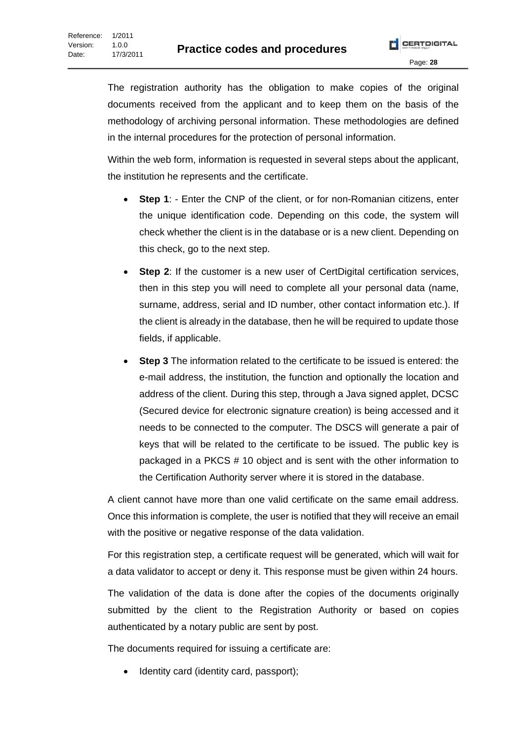The registration authority has the obligation to make copies of the original documents received from the applicant and to keep them on the basis of the methodology of archiving personal information. These methodologies are defined in the internal procedures for the protection of personal information.

Within the web form, information is requested in several steps about the applicant, the institution he represents and the certificate.

- **Step 1:** Enter the CNP of the client, or for non-Romanian citizens, enter the unique identification code. Depending on this code, the system will check whether the client is in the database or is a new client. Depending on this check, go to the next step.
- **Step 2**: If the customer is a new user of CertDigital certification services, then in this step you will need to complete all your personal data (name, surname, address, serial and ID number, other contact information etc.). If the client is already in the database, then he will be required to update those fields, if applicable.
- **Step 3** The information related to the certificate to be issued is entered: the e-mail address, the institution, the function and optionally the location and address of the client. During this step, through a Java signed applet, DCSC (Secured device for electronic signature creation) is being accessed and it needs to be connected to the computer. The DSCS will generate a pair of keys that will be related to the certificate to be issued. The public key is packaged in a PKCS # 10 object and is sent with the other information to the Certification Authority server where it is stored in the database.

A client cannot have more than one valid certificate on the same email address. Once this information is complete, the user is notified that they will receive an email with the positive or negative response of the data validation.

For this registration step, a certificate request will be generated, which will wait for a data validator to accept or deny it. This response must be given within 24 hours.

The validation of the data is done after the copies of the documents originally submitted by the client to the Registration Authority or based on copies authenticated by a notary public are sent by post.

The documents required for issuing a certificate are:

• Identity card (identity card, passport);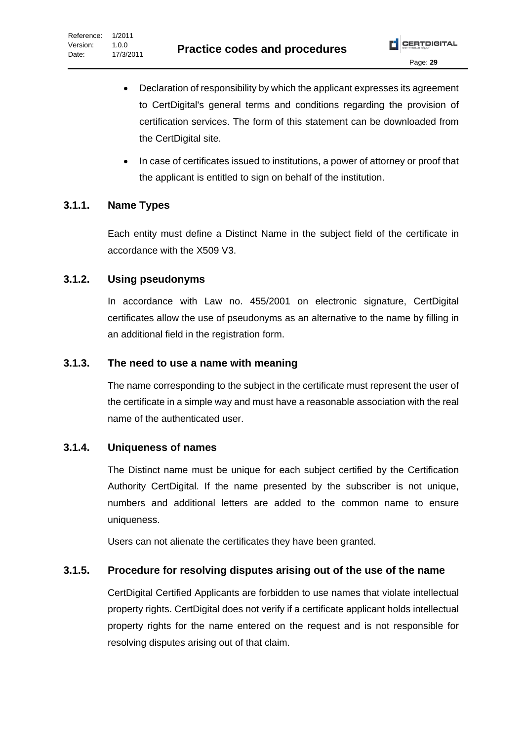- Declaration of responsibility by which the applicant expresses its agreement to CertDigital's general terms and conditions regarding the provision of certification services. The form of this statement can be downloaded from the CertDigital site.
- In case of certificates issued to institutions, a power of attorney or proof that the applicant is entitled to sign on behalf of the institution.

#### <span id="page-28-0"></span>**3.1.1. Name Types**

Each entity must define a Distinct Name in the subject field of the certificate in accordance with the X509 V3.

#### <span id="page-28-1"></span>**3.1.2. Using pseudonyms**

In accordance with Law no. 455/2001 on electronic signature, CertDigital certificates allow the use of pseudonyms as an alternative to the name by filling in an additional field in the registration form.

#### <span id="page-28-2"></span>**3.1.3. The need to use a name with meaning**

The name corresponding to the subject in the certificate must represent the user of the certificate in a simple way and must have a reasonable association with the real name of the authenticated user.

#### <span id="page-28-3"></span>**3.1.4. Uniqueness of names**

The Distinct name must be unique for each subject certified by the Certification Authority CertDigital. If the name presented by the subscriber is not unique, numbers and additional letters are added to the common name to ensure uniqueness.

Users can not alienate the certificates they have been granted.

#### <span id="page-28-4"></span>**3.1.5. Procedure for resolving disputes arising out of the use of the name**

CertDigital Certified Applicants are forbidden to use names that violate intellectual property rights. CertDigital does not verify if a certificate applicant holds intellectual property rights for the name entered on the request and is not responsible for resolving disputes arising out of that claim.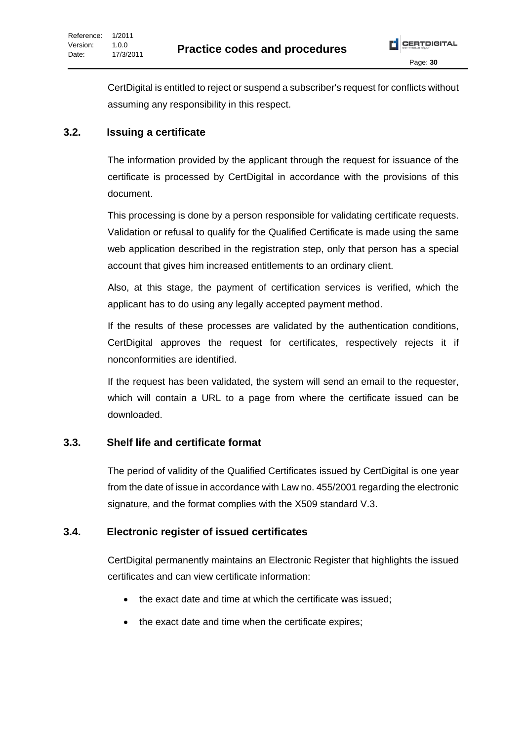CertDigital is entitled to reject or suspend a subscriber's request for conflicts without assuming any responsibility in this respect.

#### <span id="page-29-0"></span>**3.2. Issuing a certificate**

The information provided by the applicant through the request for issuance of the certificate is processed by CertDigital in accordance with the provisions of this document.

This processing is done by a person responsible for validating certificate requests. Validation or refusal to qualify for the Qualified Certificate is made using the same web application described in the registration step, only that person has a special account that gives him increased entitlements to an ordinary client.

Also, at this stage, the payment of certification services is verified, which the applicant has to do using any legally accepted payment method.

If the results of these processes are validated by the authentication conditions, CertDigital approves the request for certificates, respectively rejects it if nonconformities are identified.

If the request has been validated, the system will send an email to the requester, which will contain a URL to a page from where the certificate issued can be downloaded.

#### <span id="page-29-1"></span>**3.3. Shelf life and certificate format**

The period of validity of the Qualified Certificates issued by CertDigital is one year from the date of issue in accordance with Law no. 455/2001 regarding the electronic signature, and the format complies with the X509 standard V.3.

#### <span id="page-29-2"></span>**3.4. Electronic register of issued certificates**

CertDigital permanently maintains an Electronic Register that highlights the issued certificates and can view certificate information:

- the exact date and time at which the certificate was issued;
- the exact date and time when the certificate expires;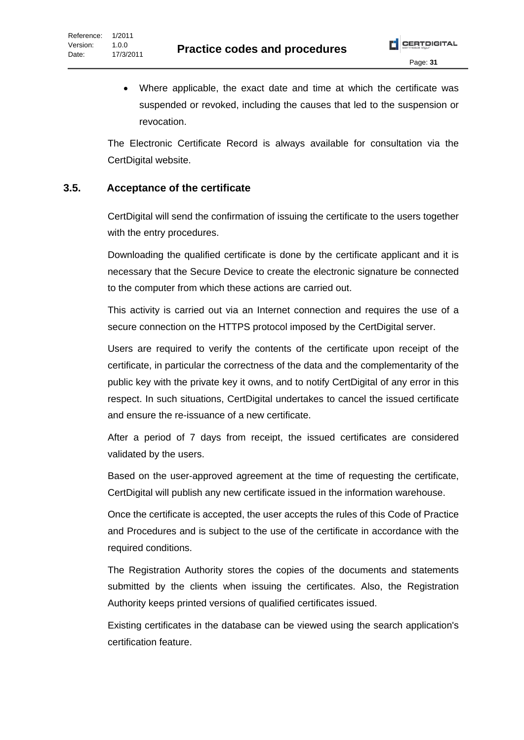• Where applicable, the exact date and time at which the certificate was suspended or revoked, including the causes that led to the suspension or revocation.

The Electronic Certificate Record is always available for consultation via the CertDigital website.

#### <span id="page-30-0"></span>**3.5. Acceptance of the certificate**

CertDigital will send the confirmation of issuing the certificate to the users together with the entry procedures.

Downloading the qualified certificate is done by the certificate applicant and it is necessary that the Secure Device to create the electronic signature be connected to the computer from which these actions are carried out.

This activity is carried out via an Internet connection and requires the use of a secure connection on the HTTPS protocol imposed by the CertDigital server.

Users are required to verify the contents of the certificate upon receipt of the certificate, in particular the correctness of the data and the complementarity of the public key with the private key it owns, and to notify CertDigital of any error in this respect. In such situations, CertDigital undertakes to cancel the issued certificate and ensure the re-issuance of a new certificate.

After a period of 7 days from receipt, the issued certificates are considered validated by the users.

Based on the user-approved agreement at the time of requesting the certificate, CertDigital will publish any new certificate issued in the information warehouse.

Once the certificate is accepted, the user accepts the rules of this Code of Practice and Procedures and is subject to the use of the certificate in accordance with the required conditions.

The Registration Authority stores the copies of the documents and statements submitted by the clients when issuing the certificates. Also, the Registration Authority keeps printed versions of qualified certificates issued.

Existing certificates in the database can be viewed using the search application's certification feature.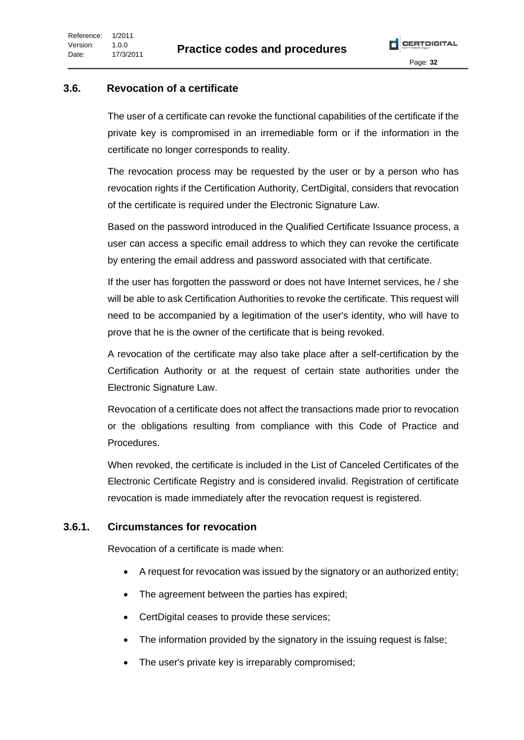#### <span id="page-31-0"></span>**3.6. Revocation of a certificate**

The user of a certificate can revoke the functional capabilities of the certificate if the private key is compromised in an irremediable form or if the information in the certificate no longer corresponds to reality.

The revocation process may be requested by the user or by a person who has revocation rights if the Certification Authority, CertDigital, considers that revocation of the certificate is required under the Electronic Signature Law.

Based on the password introduced in the Qualified Certificate Issuance process, a user can access a specific email address to which they can revoke the certificate by entering the email address and password associated with that certificate.

If the user has forgotten the password or does not have Internet services, he / she will be able to ask Certification Authorities to revoke the certificate. This request will need to be accompanied by a legitimation of the user's identity, who will have to prove that he is the owner of the certificate that is being revoked.

A revocation of the certificate may also take place after a self-certification by the Certification Authority or at the request of certain state authorities under the Electronic Signature Law.

Revocation of a certificate does not affect the transactions made prior to revocation or the obligations resulting from compliance with this Code of Practice and Procedures.

When revoked, the certificate is included in the List of Canceled Certificates of the Electronic Certificate Registry and is considered invalid. Registration of certificate revocation is made immediately after the revocation request is registered.

#### <span id="page-31-1"></span>**3.6.1. Circumstances for revocation**

Revocation of a certificate is made when:

- A request for revocation was issued by the signatory or an authorized entity;
- The agreement between the parties has expired;
- CertDigital ceases to provide these services;
- The information provided by the signatory in the issuing request is false;
- The user's private key is irreparably compromised;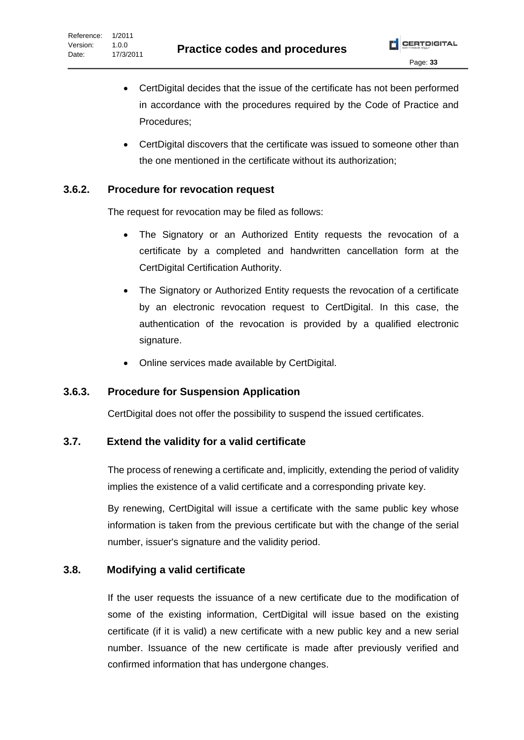- CertDigital decides that the issue of the certificate has not been performed in accordance with the procedures required by the Code of Practice and Procedures;
- CertDigital discovers that the certificate was issued to someone other than the one mentioned in the certificate without its authorization;

#### <span id="page-32-0"></span>**3.6.2. Procedure for revocation request**

The request for revocation may be filed as follows:

- The Signatory or an Authorized Entity requests the revocation of a certificate by a completed and handwritten cancellation form at the CertDigital Certification Authority.
- The Signatory or Authorized Entity requests the revocation of a certificate by an electronic revocation request to CertDigital. In this case, the authentication of the revocation is provided by a qualified electronic signature.
- Online services made available by CertDigital.

#### <span id="page-32-1"></span>**3.6.3. Procedure for Suspension Application**

CertDigital does not offer the possibility to suspend the issued certificates.

#### <span id="page-32-2"></span>**3.7. Extend the validity for a valid certificate**

The process of renewing a certificate and, implicitly, extending the period of validity implies the existence of a valid certificate and a corresponding private key.

By renewing, CertDigital will issue a certificate with the same public key whose information is taken from the previous certificate but with the change of the serial number, issuer's signature and the validity period.

#### <span id="page-32-3"></span>**3.8. Modifying a valid certificate**

If the user requests the issuance of a new certificate due to the modification of some of the existing information, CertDigital will issue based on the existing certificate (if it is valid) a new certificate with a new public key and a new serial number. Issuance of the new certificate is made after previously verified and confirmed information that has undergone changes.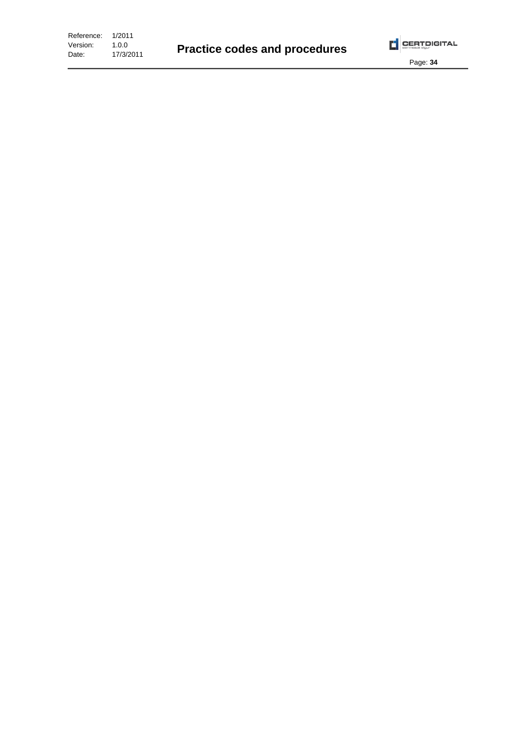Reference : 1/2011 Version: Date: 1.0.0<br>17/3/2011

**CERTDIGITAL** 

Page: **34**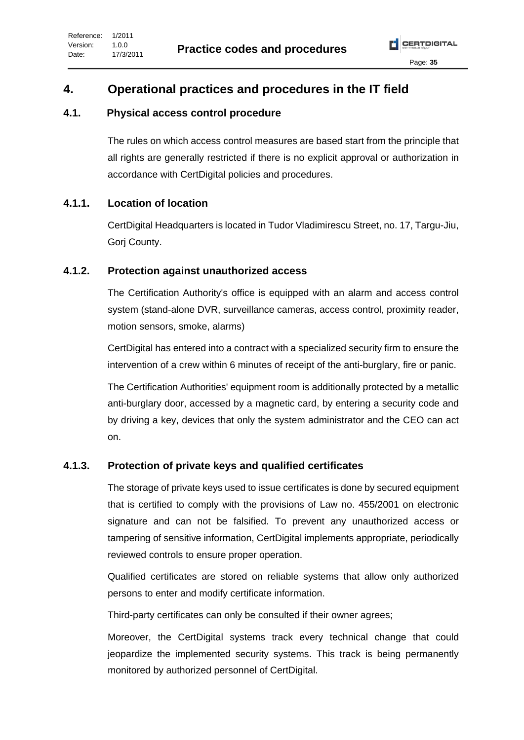## <span id="page-34-0"></span>**4. Operational practices and procedures in the IT field**

#### <span id="page-34-1"></span>**4.1. Physical access control procedure**

The rules on which access control measures are based start from the principle that all rights are generally restricted if there is no explicit approval or authorization in accordance with CertDigital policies and procedures.

#### <span id="page-34-2"></span>**4.1.1. Location of location**

CertDigital Headquarters is located in Tudor Vladimirescu Street, no. 17, Targu-Jiu, Gorj County.

#### <span id="page-34-3"></span>**4.1.2. Protection against unauthorized access**

The Certification Authority's office is equipped with an alarm and access control system (stand-alone DVR, surveillance cameras, access control, proximity reader, motion sensors, smoke, alarms)

CertDigital has entered into a contract with a specialized security firm to ensure the intervention of a crew within 6 minutes of receipt of the anti-burglary, fire or panic.

The Certification Authorities' equipment room is additionally protected by a metallic anti-burglary door, accessed by a magnetic card, by entering a security code and by driving a key, devices that only the system administrator and the CEO can act on.

#### <span id="page-34-4"></span>**4.1.3. Protection of private keys and qualified certificates**

The storage of private keys used to issue certificates is done by secured equipment that is certified to comply with the provisions of Law no. 455/2001 on electronic signature and can not be falsified. To prevent any unauthorized access or tampering of sensitive information, CertDigital implements appropriate, periodically reviewed controls to ensure proper operation.

Qualified certificates are stored on reliable systems that allow only authorized persons to enter and modify certificate information.

Third-party certificates can only be consulted if their owner agrees;

Moreover, the CertDigital systems track every technical change that could jeopardize the implemented security systems. This track is being permanently monitored by authorized personnel of CertDigital.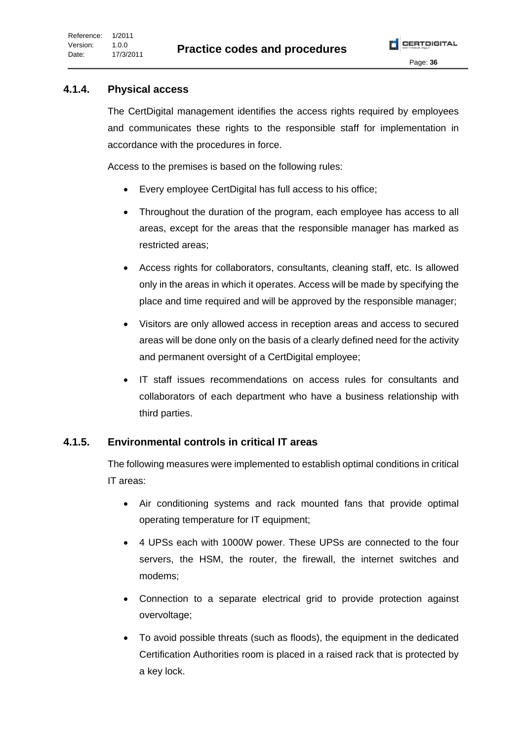#### <span id="page-35-0"></span>**4.1.4. Physical access**

The CertDigital management identifies the access rights required by employees and communicates these rights to the responsible staff for implementation in accordance with the procedures in force.

Access to the premises is based on the following rules:

- Every employee CertDigital has full access to his office:
- Throughout the duration of the program, each employee has access to all areas, except for the areas that the responsible manager has marked as restricted areas;
- Access rights for collaborators, consultants, cleaning staff, etc. Is allowed only in the areas in which it operates. Access will be made by specifying the place and time required and will be approved by the responsible manager;
- Visitors are only allowed access in reception areas and access to secured areas will be done only on the basis of a clearly defined need for the activity and permanent oversight of a CertDigital employee;
- IT staff issues recommendations on access rules for consultants and collaborators of each department who have a business relationship with third parties.

#### <span id="page-35-1"></span>**4.1.5. Environmental controls in critical IT areas**

The following measures were implemented to establish optimal conditions in critical IT areas:

- Air conditioning systems and rack mounted fans that provide optimal operating temperature for IT equipment;
- 4 UPSs each with 1000W power. These UPSs are connected to the four servers, the HSM, the router, the firewall, the internet switches and modems;
- Connection to a separate electrical grid to provide protection against overvoltage;
- To avoid possible threats (such as floods), the equipment in the dedicated Certification Authorities room is placed in a raised rack that is protected by a key lock.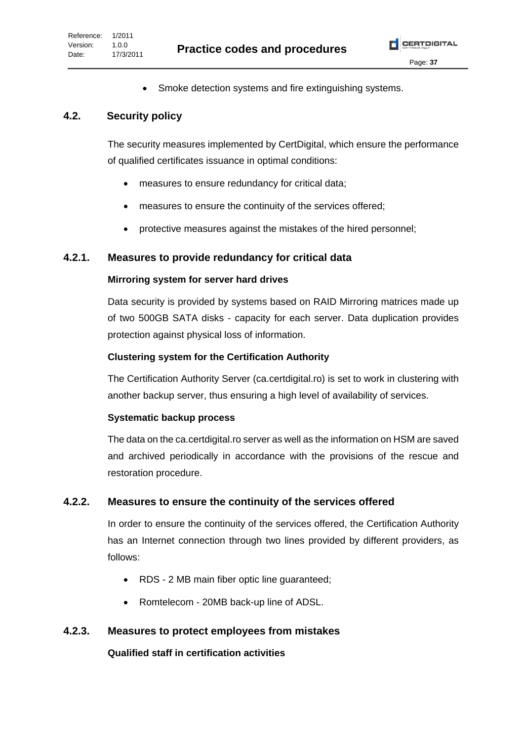• Smoke detection systems and fire extinguishing systems.

#### <span id="page-36-0"></span>**4.2. Security policy**

The security measures implemented by CertDigital, which ensure the performance of qualified certificates issuance in optimal conditions:

- measures to ensure redundancy for critical data;
- measures to ensure the continuity of the services offered;
- protective measures against the mistakes of the hired personnel;

#### <span id="page-36-1"></span>**4.2.1. Measures to provide redundancy for critical data**

#### **Mirroring system for server hard drives**

Data security is provided by systems based on RAID Mirroring matrices made up of two 500GB SATA disks - capacity for each server. Data duplication provides protection against physical loss of information.

#### **Clustering system for the Certification Authority**

The Certification Authority Server (ca.certdigital.ro) is set to work in clustering with another backup server, thus ensuring a high level of availability of services.

#### **Systematic backup process**

The data on the ca.certdigital.ro server as well as the information on HSM are saved and archived periodically in accordance with the provisions of the rescue and restoration procedure.

#### <span id="page-36-2"></span>**4.2.2. Measures to ensure the continuity of the services offered**

In order to ensure the continuity of the services offered, the Certification Authority has an Internet connection through two lines provided by different providers, as follows:

- RDS 2 MB main fiber optic line guaranteed;
- Romtelecom 20MB back-up line of ADSL.

#### <span id="page-36-3"></span>**4.2.3. Measures to protect employees from mistakes**

**Qualified staff in certification activities**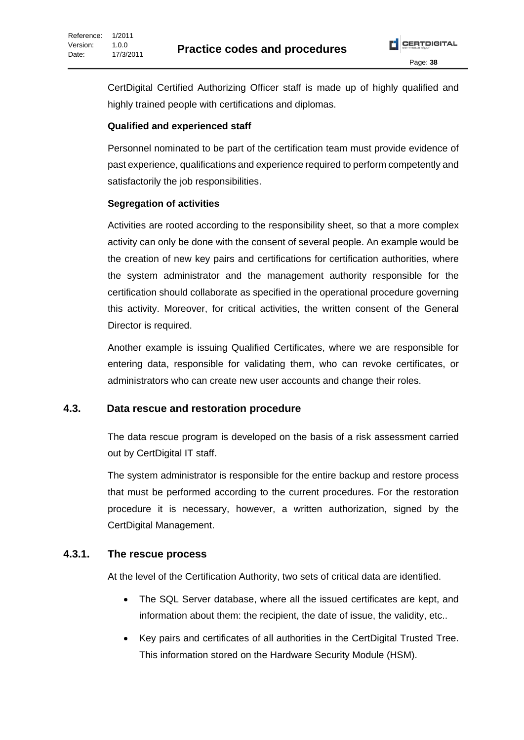CertDigital Certified Authorizing Officer staff is made up of highly qualified and highly trained people with certifications and diplomas.

#### **Qualified and experienced staff**

Personnel nominated to be part of the certification team must provide evidence of past experience, qualifications and experience required to perform competently and satisfactorily the job responsibilities.

#### **Segregation of activities**

Activities are rooted according to the responsibility sheet, so that a more complex activity can only be done with the consent of several people. An example would be the creation of new key pairs and certifications for certification authorities, where the system administrator and the management authority responsible for the certification should collaborate as specified in the operational procedure governing this activity. Moreover, for critical activities, the written consent of the General Director is required.

Another example is issuing Qualified Certificates, where we are responsible for entering data, responsible for validating them, who can revoke certificates, or administrators who can create new user accounts and change their roles.

#### <span id="page-37-0"></span>**4.3. Data rescue and restoration procedure**

The data rescue program is developed on the basis of a risk assessment carried out by CertDigital IT staff.

The system administrator is responsible for the entire backup and restore process that must be performed according to the current procedures. For the restoration procedure it is necessary, however, a written authorization, signed by the CertDigital Management.

#### <span id="page-37-1"></span>**4.3.1. The rescue process**

At the level of the Certification Authority, two sets of critical data are identified.

- The SQL Server database, where all the issued certificates are kept, and information about them: the recipient, the date of issue, the validity, etc..
- Key pairs and certificates of all authorities in the CertDigital Trusted Tree. This information stored on the Hardware Security Module (HSM).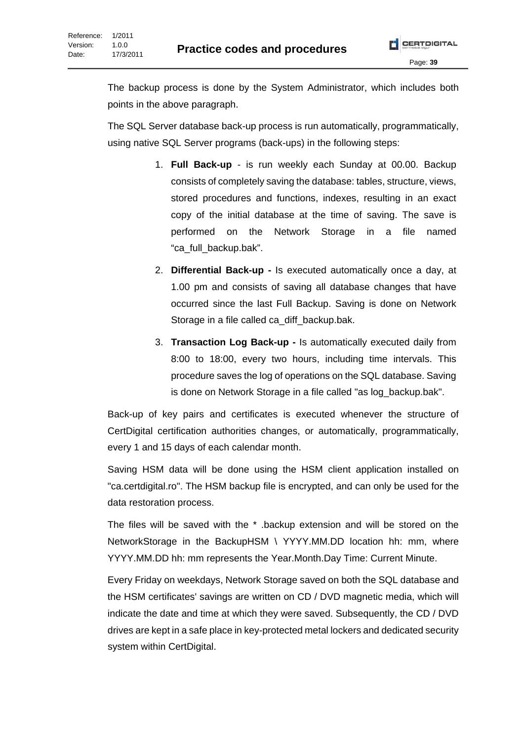The backup process is done by the System Administrator, which includes both points in the above paragraph.

The SQL Server database back-up process is run automatically, programmatically, using native SQL Server programs (back-ups) in the following steps:

- 1. **Full Back-up**  is run weekly each Sunday at 00.00. Backup consists of completely saving the database: tables, structure, views, stored procedures and functions, indexes, resulting in an exact copy of the initial database at the time of saving. The save is performed on the Network Storage in a file named "ca\_full\_backup.bak".
- 2. **Differential Back-up -** Is executed automatically once a day, at 1.00 pm and consists of saving all database changes that have occurred since the last Full Backup. Saving is done on Network Storage in a file called ca\_diff\_backup.bak.
- 3. **Transaction Log Back-up -** Is automatically executed daily from 8:00 to 18:00, every two hours, including time intervals. This procedure saves the log of operations on the SQL database. Saving is done on Network Storage in a file called "as log backup.bak".

Back-up of key pairs and certificates is executed whenever the structure of CertDigital certification authorities changes, or automatically, programmatically, every 1 and 15 days of each calendar month.

Saving HSM data will be done using the HSM client application installed on "ca.certdigital.ro". The HSM backup file is encrypted, and can only be used for the data restoration process.

The files will be saved with the \* .backup extension and will be stored on the NetworkStorage in the BackupHSM \ YYYY.MM.DD location hh: mm, where YYYY.MM.DD hh: mm represents the Year.Month.Day Time: Current Minute.

Every Friday on weekdays, Network Storage saved on both the SQL database and the HSM certificates' savings are written on CD / DVD magnetic media, which will indicate the date and time at which they were saved. Subsequently, the CD / DVD drives are kept in a safe place in key-protected metal lockers and dedicated security system within CertDigital.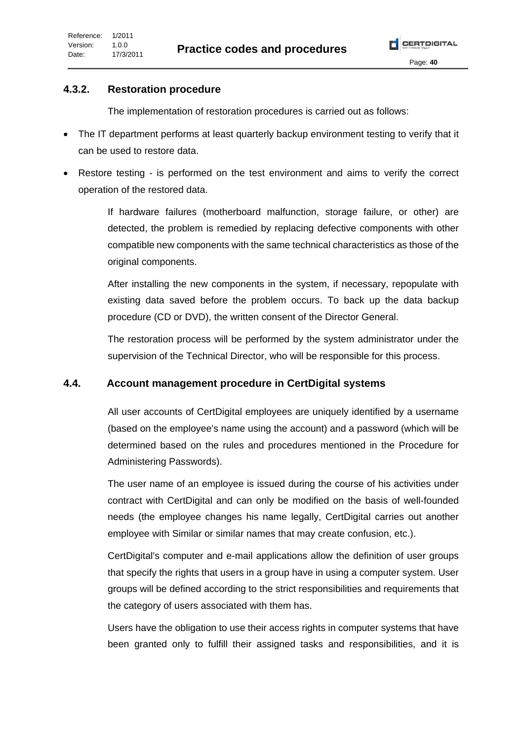#### <span id="page-39-0"></span>**4.3.2. Restoration procedure**

The implementation of restoration procedures is carried out as follows:

- The IT department performs at least quarterly backup environment testing to verify that it can be used to restore data.
- Restore testing is performed on the test environment and aims to verify the correct operation of the restored data.

If hardware failures (motherboard malfunction, storage failure, or other) are detected, the problem is remedied by replacing defective components with other compatible new components with the same technical characteristics as those of the original components.

After installing the new components in the system, if necessary, repopulate with existing data saved before the problem occurs. To back up the data backup procedure (CD or DVD), the written consent of the Director General.

The restoration process will be performed by the system administrator under the supervision of the Technical Director, who will be responsible for this process.

#### <span id="page-39-1"></span>**4.4. Account management procedure in CertDigital systems**

All user accounts of CertDigital employees are uniquely identified by a username (based on the employee's name using the account) and a password (which will be determined based on the rules and procedures mentioned in the Procedure for Administering Passwords).

The user name of an employee is issued during the course of his activities under contract with CertDigital and can only be modified on the basis of well-founded needs (the employee changes his name legally, CertDigital carries out another employee with Similar or similar names that may create confusion, etc.).

CertDigital's computer and e-mail applications allow the definition of user groups that specify the rights that users in a group have in using a computer system. User groups will be defined according to the strict responsibilities and requirements that the category of users associated with them has.

Users have the obligation to use their access rights in computer systems that have been granted only to fulfill their assigned tasks and responsibilities, and it is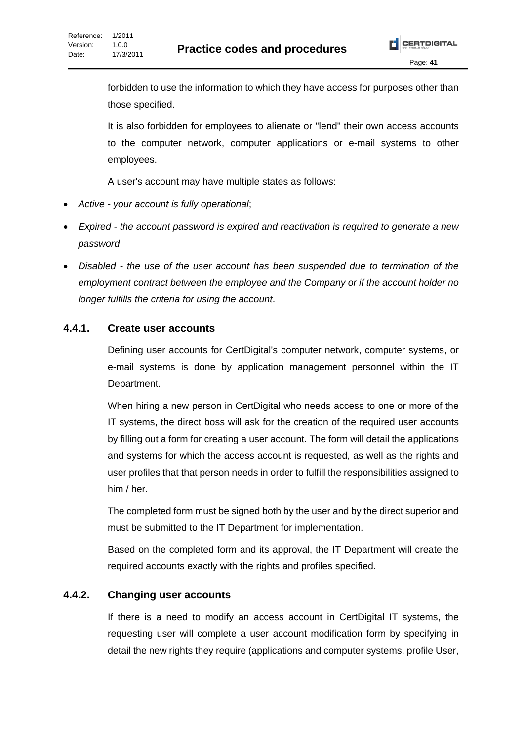forbidden to use the information to which they have access for purposes other than those specified.

It is also forbidden for employees to alienate or "lend" their own access accounts to the computer network, computer applications or e-mail systems to other employees.

A user's account may have multiple states as follows:

- *Active - your account is fully operational*;
- *Expired - the account password is expired and reactivation is required to generate a new password*;
- *Disabled - the use of the user account has been suspended due to termination of the employment contract between the employee and the Company or if the account holder no longer fulfills the criteria for using the account*.

#### <span id="page-40-0"></span>**4.4.1. Create user accounts**

Defining user accounts for CertDigital's computer network, computer systems, or e-mail systems is done by application management personnel within the IT Department.

When hiring a new person in CertDigital who needs access to one or more of the IT systems, the direct boss will ask for the creation of the required user accounts by filling out a form for creating a user account. The form will detail the applications and systems for which the access account is requested, as well as the rights and user profiles that that person needs in order to fulfill the responsibilities assigned to him / her.

The completed form must be signed both by the user and by the direct superior and must be submitted to the IT Department for implementation.

Based on the completed form and its approval, the IT Department will create the required accounts exactly with the rights and profiles specified.

#### <span id="page-40-1"></span>**4.4.2. Changing user accounts**

If there is a need to modify an access account in CertDigital IT systems, the requesting user will complete a user account modification form by specifying in detail the new rights they require (applications and computer systems, profile User,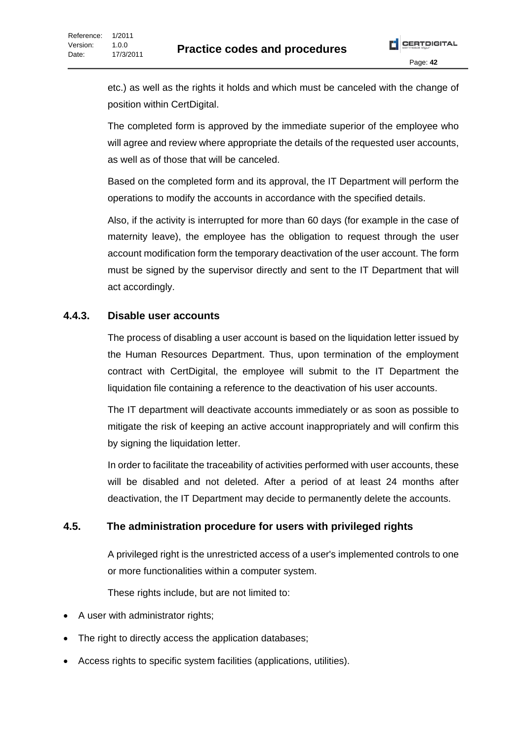**CERTDIGITAL** Page: **42**

etc.) as well as the rights it holds and which must be canceled with the change of position within CertDigital.

The completed form is approved by the immediate superior of the employee who will agree and review where appropriate the details of the requested user accounts, as well as of those that will be canceled.

Based on the completed form and its approval, the IT Department will perform the operations to modify the accounts in accordance with the specified details.

Also, if the activity is interrupted for more than 60 days (for example in the case of maternity leave), the employee has the obligation to request through the user account modification form the temporary deactivation of the user account. The form must be signed by the supervisor directly and sent to the IT Department that will act accordingly.

#### <span id="page-41-0"></span>**4.4.3. Disable user accounts**

The process of disabling a user account is based on the liquidation letter issued by the Human Resources Department. Thus, upon termination of the employment contract with CertDigital, the employee will submit to the IT Department the liquidation file containing a reference to the deactivation of his user accounts.

The IT department will deactivate accounts immediately or as soon as possible to mitigate the risk of keeping an active account inappropriately and will confirm this by signing the liquidation letter.

In order to facilitate the traceability of activities performed with user accounts, these will be disabled and not deleted. After a period of at least 24 months after deactivation, the IT Department may decide to permanently delete the accounts.

#### <span id="page-41-1"></span>**4.5. The administration procedure for users with privileged rights**

A privileged right is the unrestricted access of a user's implemented controls to one or more functionalities within a computer system.

These rights include, but are not limited to:

- A user with administrator rights;
- The right to directly access the application databases;
- Access rights to specific system facilities (applications, utilities).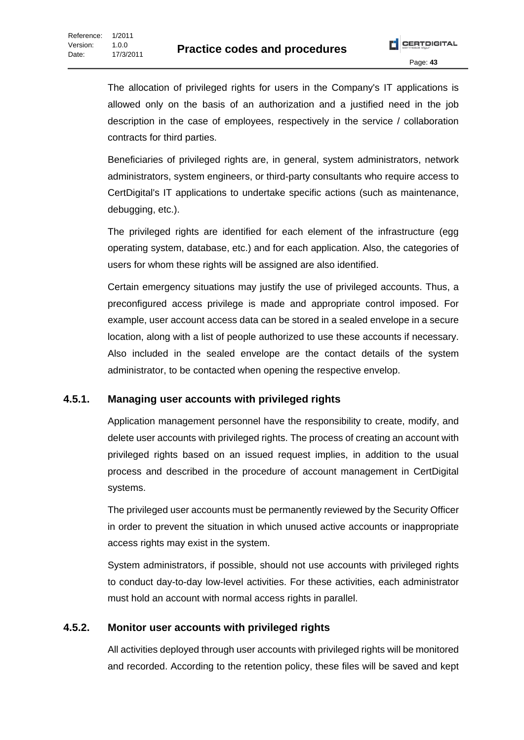The allocation of privileged rights for users in the Company's IT applications is allowed only on the basis of an authorization and a justified need in the job description in the case of employees, respectively in the service / collaboration contracts for third parties.

Beneficiaries of privileged rights are, in general, system administrators, network administrators, system engineers, or third-party consultants who require access to CertDigital's IT applications to undertake specific actions (such as maintenance, debugging, etc.).

The privileged rights are identified for each element of the infrastructure (egg operating system, database, etc.) and for each application. Also, the categories of users for whom these rights will be assigned are also identified.

Certain emergency situations may justify the use of privileged accounts. Thus, a preconfigured access privilege is made and appropriate control imposed. For example, user account access data can be stored in a sealed envelope in a secure location, along with a list of people authorized to use these accounts if necessary. Also included in the sealed envelope are the contact details of the system administrator, to be contacted when opening the respective envelop.

#### <span id="page-42-0"></span>**4.5.1. Managing user accounts with privileged rights**

Application management personnel have the responsibility to create, modify, and delete user accounts with privileged rights. The process of creating an account with privileged rights based on an issued request implies, in addition to the usual process and described in the procedure of account management in CertDigital systems.

The privileged user accounts must be permanently reviewed by the Security Officer in order to prevent the situation in which unused active accounts or inappropriate access rights may exist in the system.

System administrators, if possible, should not use accounts with privileged rights to conduct day-to-day low-level activities. For these activities, each administrator must hold an account with normal access rights in parallel.

#### <span id="page-42-1"></span>**4.5.2. Monitor user accounts with privileged rights**

All activities deployed through user accounts with privileged rights will be monitored and recorded. According to the retention policy, these files will be saved and kept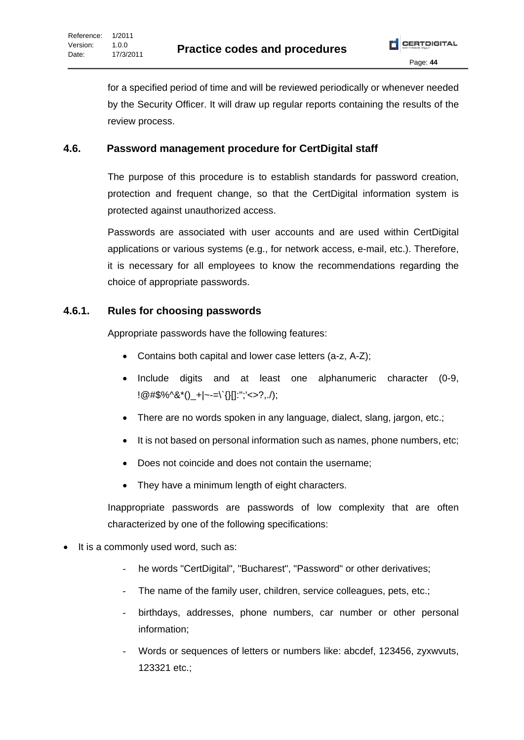for a specified period of time and will be reviewed periodically or whenever needed by the Security Officer. It will draw up regular reports containing the results of the review process.

#### <span id="page-43-0"></span>**4.6. Password management procedure for CertDigital staff**

The purpose of this procedure is to establish standards for password creation, protection and frequent change, so that the CertDigital information system is protected against unauthorized access.

Passwords are associated with user accounts and are used within CertDigital applications or various systems (e.g., for network access, e-mail, etc.). Therefore, it is necessary for all employees to know the recommendations regarding the choice of appropriate passwords.

#### <span id="page-43-1"></span>**4.6.1. Rules for choosing passwords**

Appropriate passwords have the following features:

- Contains both capital and lower case letters (a-z, A-Z);
- Include digits and at least one alphanumeric character (0-9, !@#\$%^&\*()\_+|~-=\`{}[]:";'<>?,./);
- There are no words spoken in any language, dialect, slang, jargon, etc.;
- It is not based on personal information such as names, phone numbers, etc;
- Does not coincide and does not contain the username;
- They have a minimum length of eight characters.

Inappropriate passwords are passwords of low complexity that are often characterized by one of the following specifications:

- It is a commonly used word, such as:
	- he words "CertDigital", "Bucharest", "Password" or other derivatives;
	- The name of the family user, children, service colleagues, pets, etc.;
	- birthdays, addresses, phone numbers, car number or other personal information;
	- Words or sequences of letters or numbers like: abcdef, 123456, zyxwvuts, 123321 etc.;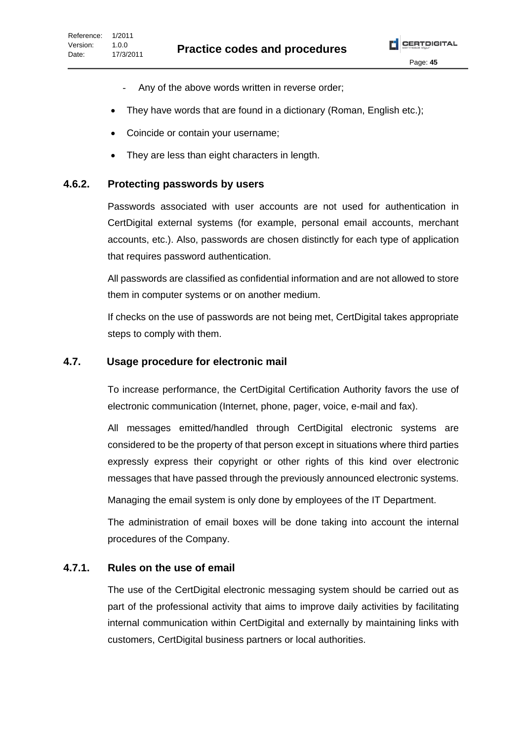- Any of the above words written in reverse order;
- They have words that are found in a dictionary (Roman, English etc.);
- Coincide or contain your username;
- They are less than eight characters in length.

#### <span id="page-44-0"></span>**4.6.2. Protecting passwords by users**

Passwords associated with user accounts are not used for authentication in CertDigital external systems (for example, personal email accounts, merchant accounts, etc.). Also, passwords are chosen distinctly for each type of application that requires password authentication.

All passwords are classified as confidential information and are not allowed to store them in computer systems or on another medium.

If checks on the use of passwords are not being met, CertDigital takes appropriate steps to comply with them.

#### <span id="page-44-1"></span>**4.7. Usage procedure for electronic mail**

To increase performance, the CertDigital Certification Authority favors the use of electronic communication (Internet, phone, pager, voice, e-mail and fax).

All messages emitted/handled through CertDigital electronic systems are considered to be the property of that person except in situations where third parties expressly express their copyright or other rights of this kind over electronic messages that have passed through the previously announced electronic systems.

Managing the email system is only done by employees of the IT Department.

The administration of email boxes will be done taking into account the internal procedures of the Company.

#### <span id="page-44-2"></span>**4.7.1. Rules on the use of email**

The use of the CertDigital electronic messaging system should be carried out as part of the professional activity that aims to improve daily activities by facilitating internal communication within CertDigital and externally by maintaining links with customers, CertDigital business partners or local authorities.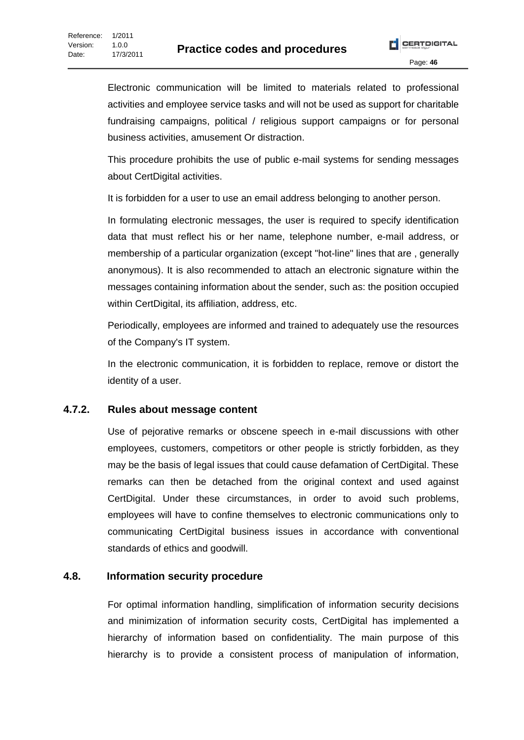Electronic communication will be limited to materials related to professional activities and employee service tasks and will not be used as support for charitable fundraising campaigns, political / religious support campaigns or for personal business activities, amusement Or distraction.

This procedure prohibits the use of public e-mail systems for sending messages about CertDigital activities.

It is forbidden for a user to use an email address belonging to another person.

In formulating electronic messages, the user is required to specify identification data that must reflect his or her name, telephone number, e-mail address, or membership of a particular organization (except "hot-line" lines that are , generally anonymous). It is also recommended to attach an electronic signature within the messages containing information about the sender, such as: the position occupied within CertDigital, its affiliation, address, etc.

Periodically, employees are informed and trained to adequately use the resources of the Company's IT system.

In the electronic communication, it is forbidden to replace, remove or distort the identity of a user.

#### <span id="page-45-0"></span>**4.7.2. Rules about message content**

Use of pejorative remarks or obscene speech in e-mail discussions with other employees, customers, competitors or other people is strictly forbidden, as they may be the basis of legal issues that could cause defamation of CertDigital. These remarks can then be detached from the original context and used against CertDigital. Under these circumstances, in order to avoid such problems, employees will have to confine themselves to electronic communications only to communicating CertDigital business issues in accordance with conventional standards of ethics and goodwill.

#### <span id="page-45-1"></span>**4.8. Information security procedure**

For optimal information handling, simplification of information security decisions and minimization of information security costs, CertDigital has implemented a hierarchy of information based on confidentiality. The main purpose of this hierarchy is to provide a consistent process of manipulation of information,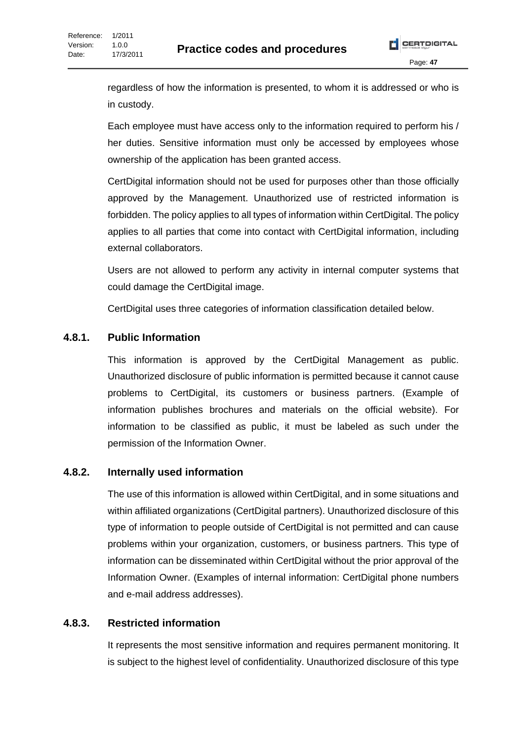regardless of how the information is presented, to whom it is addressed or who is in custody.

Each employee must have access only to the information required to perform his / her duties. Sensitive information must only be accessed by employees whose ownership of the application has been granted access.

CertDigital information should not be used for purposes other than those officially approved by the Management. Unauthorized use of restricted information is forbidden. The policy applies to all types of information within CertDigital. The policy applies to all parties that come into contact with CertDigital information, including external collaborators.

Users are not allowed to perform any activity in internal computer systems that could damage the CertDigital image.

CertDigital uses three categories of information classification detailed below.

#### <span id="page-46-0"></span>**4.8.1. Public Information**

This information is approved by the CertDigital Management as public. Unauthorized disclosure of public information is permitted because it cannot cause problems to CertDigital, its customers or business partners. (Example of information publishes brochures and materials on the official website). For information to be classified as public, it must be labeled as such under the permission of the Information Owner.

#### <span id="page-46-1"></span>**4.8.2. Internally used information**

The use of this information is allowed within CertDigital, and in some situations and within affiliated organizations (CertDigital partners). Unauthorized disclosure of this type of information to people outside of CertDigital is not permitted and can cause problems within your organization, customers, or business partners. This type of information can be disseminated within CertDigital without the prior approval of the Information Owner. (Examples of internal information: CertDigital phone numbers and e-mail address addresses).

#### <span id="page-46-2"></span>**4.8.3. Restricted information**

It represents the most sensitive information and requires permanent monitoring. It is subject to the highest level of confidentiality. Unauthorized disclosure of this type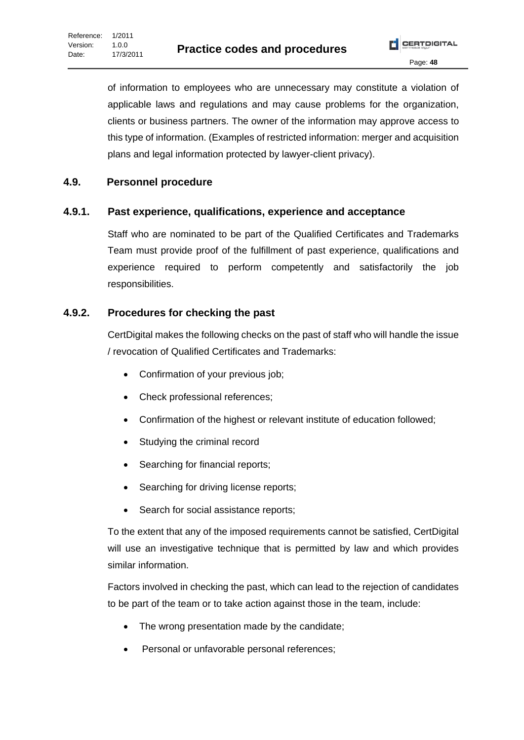of information to employees who are unnecessary may constitute a violation of applicable laws and regulations and may cause problems for the organization, clients or business partners. The owner of the information may approve access to this type of information. (Examples of restricted information: merger and acquisition plans and legal information protected by lawyer-client privacy).

#### <span id="page-47-0"></span>**4.9. Personnel procedure**

#### <span id="page-47-1"></span>**4.9.1. Past experience, qualifications, experience and acceptance**

Staff who are nominated to be part of the Qualified Certificates and Trademarks Team must provide proof of the fulfillment of past experience, qualifications and experience required to perform competently and satisfactorily the job responsibilities.

#### <span id="page-47-2"></span>**4.9.2. Procedures for checking the past**

CertDigital makes the following checks on the past of staff who will handle the issue / revocation of Qualified Certificates and Trademarks:

- Confirmation of your previous job;
- Check professional references;
- Confirmation of the highest or relevant institute of education followed;
- Studying the criminal record
- Searching for financial reports;
- Searching for driving license reports;
- Search for social assistance reports;

To the extent that any of the imposed requirements cannot be satisfied, CertDigital will use an investigative technique that is permitted by law and which provides similar information.

Factors involved in checking the past, which can lead to the rejection of candidates to be part of the team or to take action against those in the team, include:

- The wrong presentation made by the candidate;
- Personal or unfavorable personal references;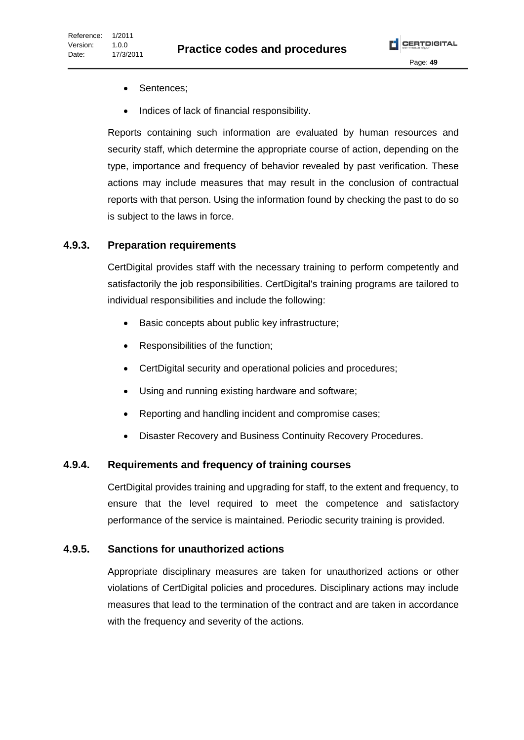- Sentences;
- Indices of lack of financial responsibility.

Reports containing such information are evaluated by human resources and security staff, which determine the appropriate course of action, depending on the type, importance and frequency of behavior revealed by past verification. These actions may include measures that may result in the conclusion of contractual reports with that person. Using the information found by checking the past to do so is subject to the laws in force.

#### <span id="page-48-0"></span>**4.9.3. Preparation requirements**

CertDigital provides staff with the necessary training to perform competently and satisfactorily the job responsibilities. CertDigital's training programs are tailored to individual responsibilities and include the following:

- Basic concepts about public key infrastructure;
- Responsibilities of the function;
- CertDigital security and operational policies and procedures;
- Using and running existing hardware and software;
- Reporting and handling incident and compromise cases;
- Disaster Recovery and Business Continuity Recovery Procedures.

#### <span id="page-48-1"></span>**4.9.4. Requirements and frequency of training courses**

CertDigital provides training and upgrading for staff, to the extent and frequency, to ensure that the level required to meet the competence and satisfactory performance of the service is maintained. Periodic security training is provided.

#### <span id="page-48-2"></span>**4.9.5. Sanctions for unauthorized actions**

Appropriate disciplinary measures are taken for unauthorized actions or other violations of CertDigital policies and procedures. Disciplinary actions may include measures that lead to the termination of the contract and are taken in accordance with the frequency and severity of the actions.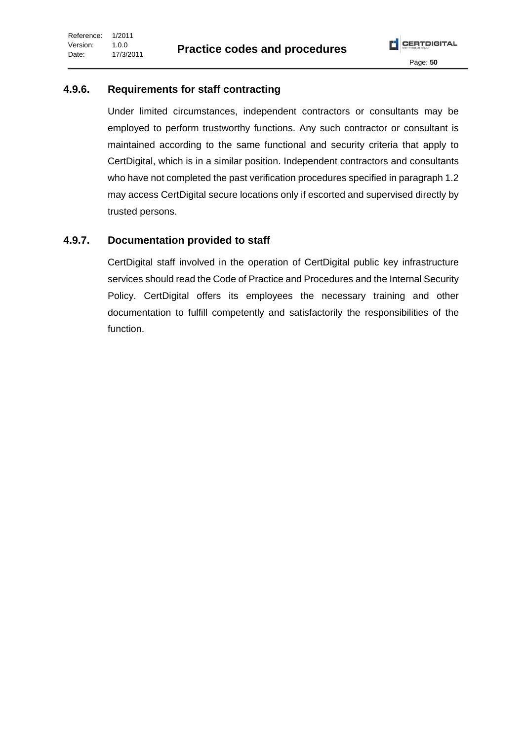Reference: 1/2011 Version: Date: 1.0.0

## <span id="page-49-0"></span>**4.9.6. Requirements for staff contracting**

Under limited circumstances, independent contractors or consultants may be employed to perform trustworthy functions. Any such contractor or consultant is maintained according to the same functional and security criteria that apply to CertDigital, which is in a similar position. Independent contractors and consultants who have not completed the past verification procedures specified in paragraph 1.2 may access CertDigital secure locations only if escorted and supervised directly by trusted persons.

## <span id="page-49-1"></span>**4.9.7. Documentation provided to staff**

CertDigital staff involved in the operation of CertDigital public key infrastructure services should read the Code of Practice and Procedures and the Internal Security Policy. CertDigital offers its employees the necessary training and other documentation to fulfill competently and satisfactorily the responsibilities of the function.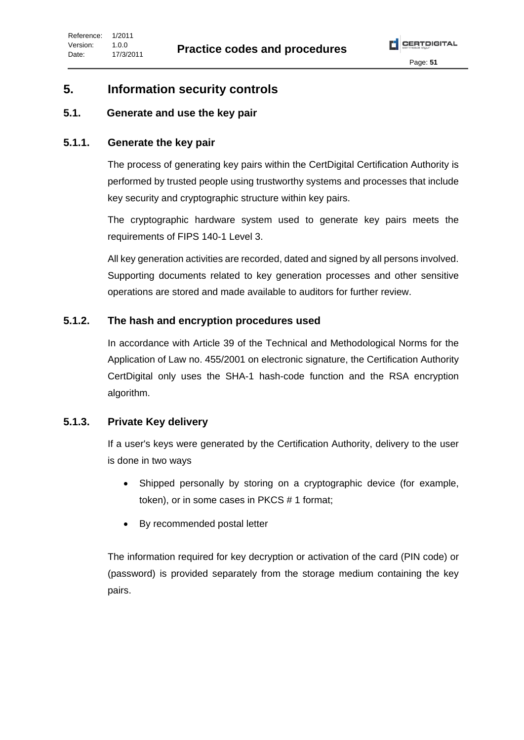Page: **51**

## <span id="page-50-0"></span>**5. Information security controls**

#### <span id="page-50-1"></span>**5.1. Generate and use the key pair**

#### <span id="page-50-2"></span>**5.1.1. Generate the key pair**

The process of generating key pairs within the CertDigital Certification Authority is performed by trusted people using trustworthy systems and processes that include key security and cryptographic structure within key pairs.

The cryptographic hardware system used to generate key pairs meets the requirements of FIPS 140-1 Level 3.

All key generation activities are recorded, dated and signed by all persons involved. Supporting documents related to key generation processes and other sensitive operations are stored and made available to auditors for further review.

#### <span id="page-50-3"></span>**5.1.2. The hash and encryption procedures used**

In accordance with Article 39 of the Technical and Methodological Norms for the Application of Law no. 455/2001 on electronic signature, the Certification Authority CertDigital only uses the SHA-1 hash-code function and the RSA encryption algorithm.

### <span id="page-50-4"></span>**5.1.3. Private Key delivery**

If a user's keys were generated by the Certification Authority, delivery to the user is done in two ways

- Shipped personally by storing on a cryptographic device (for example, token), or in some cases in PKCS # 1 format;
- By recommended postal letter

The information required for key decryption or activation of the card (PIN code) or (password) is provided separately from the storage medium containing the key pairs.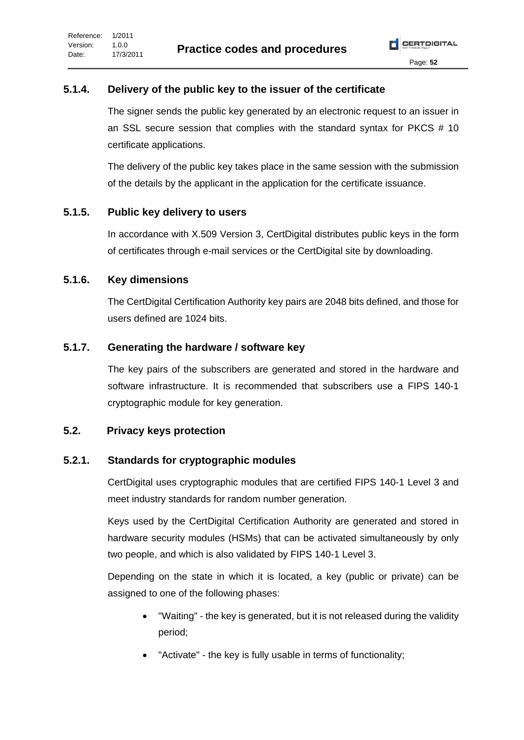#### <span id="page-51-0"></span>**5.1.4. Delivery of the public key to the issuer of the certificate**

The signer sends the public key generated by an electronic request to an issuer in an SSL secure session that complies with the standard syntax for PKCS  $#$  10 certificate applications.

The delivery of the public key takes place in the same session with the submission of the details by the applicant in the application for the certificate issuance.

#### <span id="page-51-1"></span>**5.1.5. Public key delivery to users**

In accordance with X.509 Version 3, CertDigital distributes public keys in the form of certificates through e-mail services or the CertDigital site by downloading.

#### <span id="page-51-2"></span>**5.1.6. Key dimensions**

The CertDigital Certification Authority key pairs are 2048 bits defined, and those for users defined are 1024 bits.

#### <span id="page-51-3"></span>**5.1.7. Generating the hardware / software key**

The key pairs of the subscribers are generated and stored in the hardware and software infrastructure. It is recommended that subscribers use a FIPS 140-1 cryptographic module for key generation.

#### <span id="page-51-4"></span>**5.2. Privacy keys protection**

#### <span id="page-51-5"></span>**5.2.1. Standards for cryptographic modules**

CertDigital uses cryptographic modules that are certified FIPS 140-1 Level 3 and meet industry standards for random number generation.

Keys used by the CertDigital Certification Authority are generated and stored in hardware security modules (HSMs) that can be activated simultaneously by only two people, and which is also validated by FIPS 140-1 Level 3.

Depending on the state in which it is located, a key (public or private) can be assigned to one of the following phases:

- "Waiting" the key is generated, but it is not released during the validity period;
- "Activate" the key is fully usable in terms of functionality;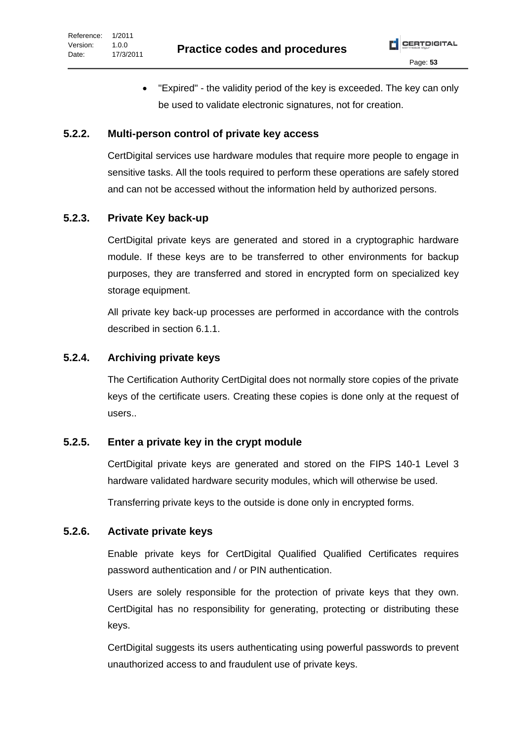• "Expired" - the validity period of the key is exceeded. The key can only be used to validate electronic signatures, not for creation.

#### <span id="page-52-0"></span>**5.2.2. Multi-person control of private key access**

CertDigital services use hardware modules that require more people to engage in sensitive tasks. All the tools required to perform these operations are safely stored and can not be accessed without the information held by authorized persons.

#### <span id="page-52-1"></span>**5.2.3. Private Key back-up**

CertDigital private keys are generated and stored in a cryptographic hardware module. If these keys are to be transferred to other environments for backup purposes, they are transferred and stored in encrypted form on specialized key storage equipment.

All private key back-up processes are performed in accordance with the controls described in section 6.1.1.

#### <span id="page-52-2"></span>**5.2.4. Archiving private keys**

The Certification Authority CertDigital does not normally store copies of the private keys of the certificate users. Creating these copies is done only at the request of users..

#### <span id="page-52-3"></span>**5.2.5. Enter a private key in the crypt module**

CertDigital private keys are generated and stored on the FIPS 140-1 Level 3 hardware validated hardware security modules, which will otherwise be used.

Transferring private keys to the outside is done only in encrypted forms.

#### <span id="page-52-4"></span>**5.2.6. Activate private keys**

Enable private keys for CertDigital Qualified Qualified Certificates requires password authentication and / or PIN authentication.

Users are solely responsible for the protection of private keys that they own. CertDigital has no responsibility for generating, protecting or distributing these keys.

CertDigital suggests its users authenticating using powerful passwords to prevent unauthorized access to and fraudulent use of private keys.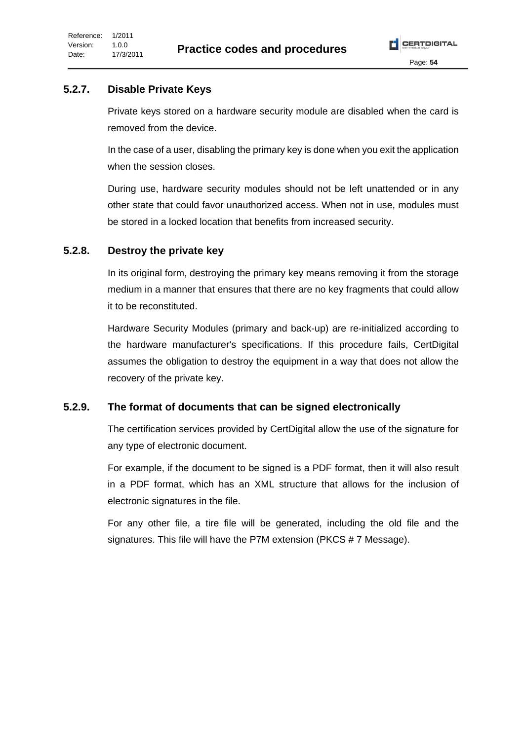## <span id="page-53-0"></span>**5.2.7. Disable Private Keys**

Private keys stored on a hardware security module are disabled when the card is removed from the device.

In the case of a user, disabling the primary key is done when you exit the application when the session closes.

During use, hardware security modules should not be left unattended or in any other state that could favor unauthorized access. When not in use, modules must be stored in a locked location that benefits from increased security.

## <span id="page-53-1"></span>**5.2.8. Destroy the private key**

In its original form, destroying the primary key means removing it from the storage medium in a manner that ensures that there are no key fragments that could allow it to be reconstituted.

Hardware Security Modules (primary and back-up) are re-initialized according to the hardware manufacturer's specifications. If this procedure fails, CertDigital assumes the obligation to destroy the equipment in a way that does not allow the recovery of the private key.

## <span id="page-53-2"></span>**5.2.9. The format of documents that can be signed electronically**

The certification services provided by CertDigital allow the use of the signature for any type of electronic document.

For example, if the document to be signed is a PDF format, then it will also result in a PDF format, which has an XML structure that allows for the inclusion of electronic signatures in the file.

For any other file, a tire file will be generated, including the old file and the signatures. This file will have the P7M extension (PKCS # 7 Message).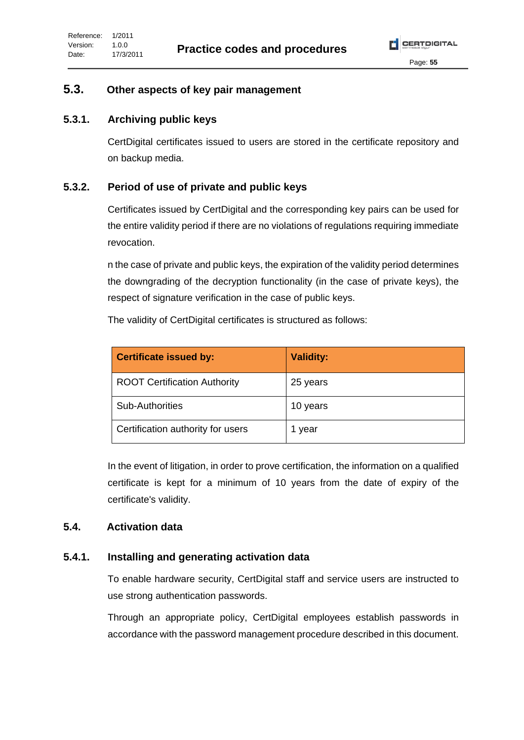

## <span id="page-54-0"></span>**5.3. Other aspects of key pair management**

#### <span id="page-54-1"></span>**5.3.1. Archiving public keys**

CertDigital certificates issued to users are stored in the certificate repository and on backup media.

#### <span id="page-54-2"></span>**5.3.2. Period of use of private and public keys**

Certificates issued by CertDigital and the corresponding key pairs can be used for the entire validity period if there are no violations of regulations requiring immediate revocation.

n the case of private and public keys, the expiration of the validity period determines the downgrading of the decryption functionality (in the case of private keys), the respect of signature verification in the case of public keys.

The validity of CertDigital certificates is structured as follows:

| <b>Certificate issued by:</b>       | <b>Validity:</b> |
|-------------------------------------|------------------|
| <b>ROOT Certification Authority</b> | 25 years         |
| <b>Sub-Authorities</b>              | 10 years         |
| Certification authority for users   | 1 year           |

In the event of litigation, in order to prove certification, the information on a qualified certificate is kept for a minimum of 10 years from the date of expiry of the certificate's validity.

#### <span id="page-54-3"></span>**5.4. Activation data**

#### <span id="page-54-4"></span>**5.4.1. Installing and generating activation data**

To enable hardware security, CertDigital staff and service users are instructed to use strong authentication passwords.

Through an appropriate policy, CertDigital employees establish passwords in accordance with the password management procedure described in this document.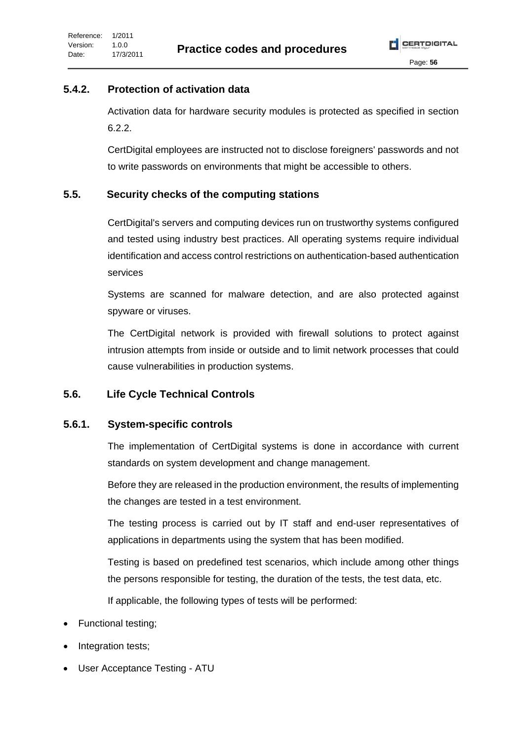## <span id="page-55-0"></span>**5.4.2. Protection of activation data**

Activation data for hardware security modules is protected as specified in section 6.2.2.

CertDigital employees are instructed not to disclose foreigners' passwords and not to write passwords on environments that might be accessible to others.

## <span id="page-55-1"></span>**5.5. Security checks of the computing stations**

CertDigital's servers and computing devices run on trustworthy systems configured and tested using industry best practices. All operating systems require individual identification and access control restrictions on authentication-based authentication services

Systems are scanned for malware detection, and are also protected against spyware or viruses.

The CertDigital network is provided with firewall solutions to protect against intrusion attempts from inside or outside and to limit network processes that could cause vulnerabilities in production systems.

## <span id="page-55-2"></span>**5.6. Life Cycle Technical Controls**

## <span id="page-55-3"></span>**5.6.1. System-specific controls**

The implementation of CertDigital systems is done in accordance with current standards on system development and change management.

Before they are released in the production environment, the results of implementing the changes are tested in a test environment.

The testing process is carried out by IT staff and end-user representatives of applications in departments using the system that has been modified.

Testing is based on predefined test scenarios, which include among other things the persons responsible for testing, the duration of the tests, the test data, etc.

If applicable, the following types of tests will be performed:

- Functional testing;
- Integration tests;
- User Acceptance Testing ATU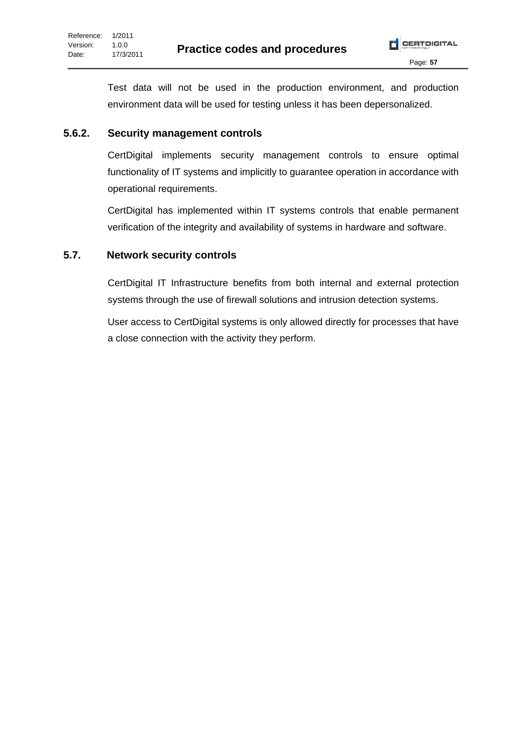Test data will not be used in the production environment, and production environment data will be used for testing unless it has been depersonalized.

#### <span id="page-56-0"></span>**5.6.2. Security management controls**

CertDigital implements security management controls to ensure optimal functionality of IT systems and implicitly to guarantee operation in accordance with operational requirements.

CertDigital has implemented within IT systems controls that enable permanent verification of the integrity and availability of systems in hardware and software.

#### <span id="page-56-1"></span>**5.7. Network security controls**

CertDigital IT Infrastructure benefits from both internal and external protection systems through the use of firewall solutions and intrusion detection systems.

User access to CertDigital systems is only allowed directly for processes that have a close connection with the activity they perform.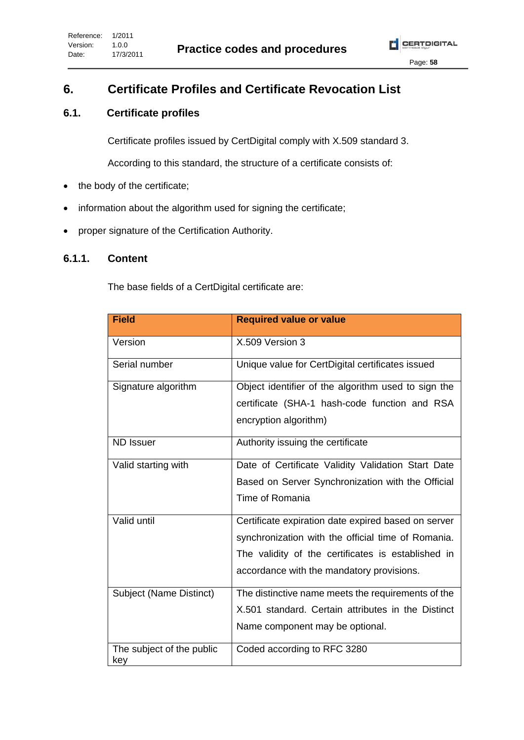## <span id="page-57-0"></span>**6. Certificate Profiles and Certificate Revocation List**

#### <span id="page-57-1"></span>**6.1. Certificate profiles**

Certificate profiles issued by CertDigital comply with X.509 standard 3.

According to this standard, the structure of a certificate consists of:

- the body of the certificate;
- information about the algorithm used for signing the certificate;
- proper signature of the Certification Authority.

#### <span id="page-57-2"></span>**6.1.1. Content**

The base fields of a CertDigital certificate are:

| <b>Field</b>                     | <b>Required value or value</b>                      |
|----------------------------------|-----------------------------------------------------|
| Version                          | X.509 Version 3                                     |
| Serial number                    | Unique value for CertDigital certificates issued    |
| Signature algorithm              | Object identifier of the algorithm used to sign the |
|                                  | certificate (SHA-1 hash-code function and RSA       |
|                                  | encryption algorithm)                               |
| <b>ND Issuer</b>                 | Authority issuing the certificate                   |
| Valid starting with              | Date of Certificate Validity Validation Start Date  |
|                                  | Based on Server Synchronization with the Official   |
|                                  | Time of Romania                                     |
| Valid until                      | Certificate expiration date expired based on server |
|                                  | synchronization with the official time of Romania.  |
|                                  | The validity of the certificates is established in  |
|                                  | accordance with the mandatory provisions.           |
| Subject (Name Distinct)          | The distinctive name meets the requirements of the  |
|                                  | X.501 standard. Certain attributes in the Distinct  |
|                                  | Name component may be optional.                     |
| The subject of the public<br>key | Coded according to RFC 3280                         |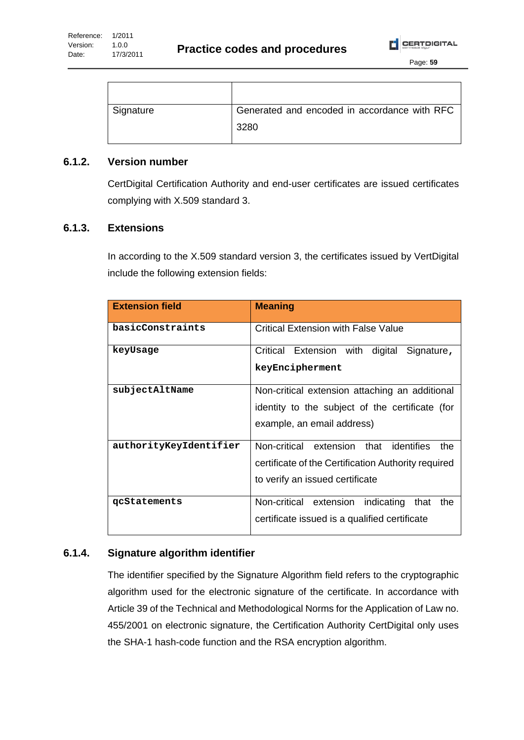

Page: **59**

| Signature | Generated and encoded in accordance with RFC |
|-----------|----------------------------------------------|
|           | 3280                                         |

#### <span id="page-58-0"></span>**6.1.2. Version number**

CertDigital Certification Authority and end-user certificates are issued certificates complying with X.509 standard 3.

#### <span id="page-58-1"></span>**6.1.3. Extensions**

In according to the X.509 standard version 3, the certificates issued by VertDigital include the following extension fields:

| <b>Extension field</b> | <b>Meaning</b>                                                                                                                             |
|------------------------|--------------------------------------------------------------------------------------------------------------------------------------------|
| basicConstraints       | <b>Critical Extension with False Value</b>                                                                                                 |
| keyUsage               | Critical Extension with<br>digital Signature,<br>keyEncipherment                                                                           |
| subjectAltName         | Non-critical extension attaching an additional<br>identity to the subject of the certificate (for<br>example, an email address)            |
| authorityKeyIdentifier | Non-critical extension<br>that identifies<br>the<br>certificate of the Certification Authority required<br>to verify an issued certificate |
| gcStatements           | Non-critical extension<br>indicating<br>that<br>the<br>certificate issued is a qualified certificate                                       |

#### <span id="page-58-2"></span>**6.1.4. Signature algorithm identifier**

The identifier specified by the Signature Algorithm field refers to the cryptographic algorithm used for the electronic signature of the certificate. In accordance with Article 39 of the Technical and Methodological Norms for the Application of Law no. 455/2001 on electronic signature, the Certification Authority CertDigital only uses the SHA-1 hash-code function and the RSA encryption algorithm.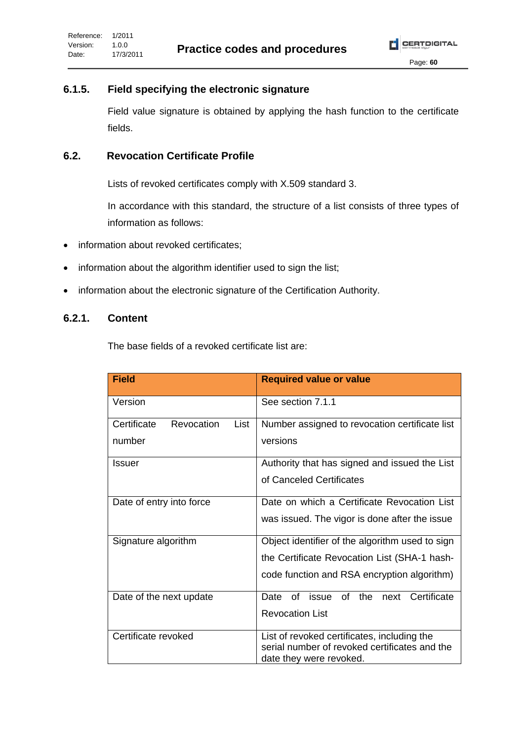#### <span id="page-59-0"></span>**6.1.5. Field specifying the electronic signature**

Field value signature is obtained by applying the hash function to the certificate fields.

#### <span id="page-59-1"></span>**6.2. Revocation Certificate Profile**

Lists of revoked certificates comply with X.509 standard 3.

In accordance with this standard, the structure of a list consists of three types of information as follows:

- information about revoked certificates;
- information about the algorithm identifier used to sign the list;
- information about the electronic signature of the Certification Authority.

#### <span id="page-59-2"></span>**6.2.1. Content**

The base fields of a revoked certificate list are:

| <b>Field</b>                      | <b>Required value or value</b>                                                               |
|-----------------------------------|----------------------------------------------------------------------------------------------|
| Version                           | See section 7.1.1                                                                            |
| Revocation<br>Certificate<br>List | Number assigned to revocation certificate list                                               |
| number                            | versions                                                                                     |
| Issuer                            | Authority that has signed and issued the List                                                |
|                                   | of Canceled Certificates                                                                     |
| Date of entry into force          | Date on which a Certificate Revocation List                                                  |
|                                   | was issued. The vigor is done after the issue                                                |
| Signature algorithm               | Object identifier of the algorithm used to sign                                              |
|                                   | the Certificate Revocation List (SHA-1 hash-                                                 |
|                                   | code function and RSA encryption algorithm)                                                  |
| Date of the next update           | the<br>Certificate<br>Date<br>Ωf<br>issue<br>Ωf<br>next                                      |
|                                   | <b>Revocation List</b>                                                                       |
| Certificate revoked               | List of revoked certificates, including the<br>serial number of revoked certificates and the |
|                                   | date they were revoked.                                                                      |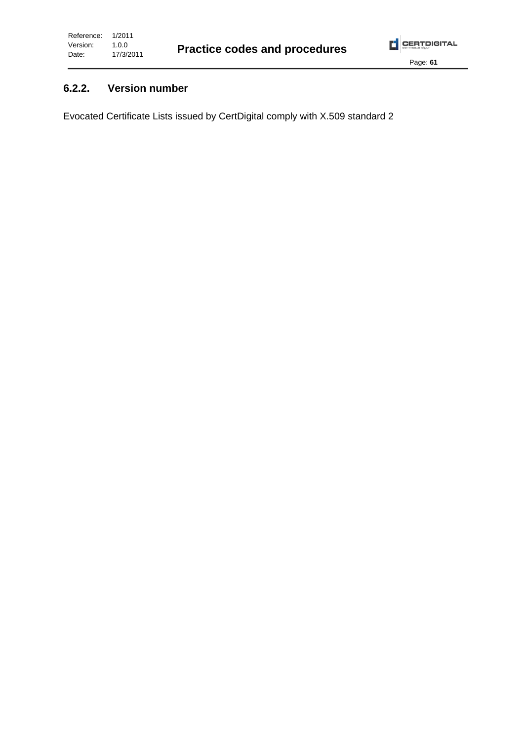

## <span id="page-60-0"></span>**6.2.2. Version number**

Evocated Certificate Lists issued by CertDigital comply with X.509 standard 2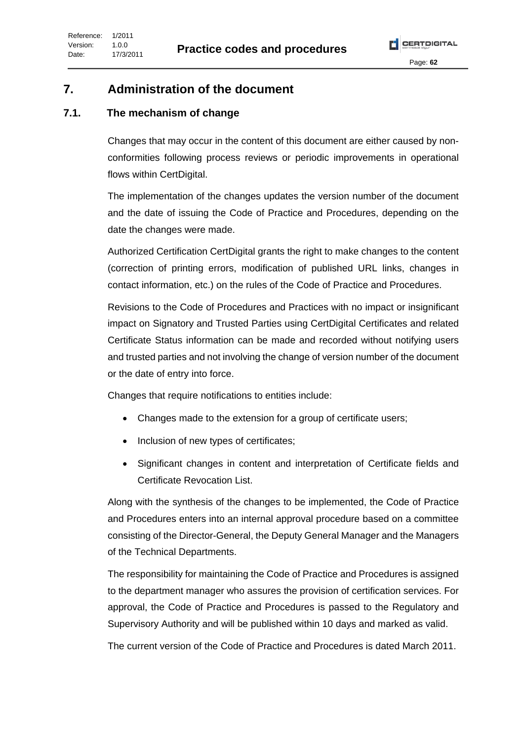## <span id="page-61-0"></span>**7. Administration of the document**

#### <span id="page-61-1"></span>**7.1. The mechanism of change**

Changes that may occur in the content of this document are either caused by nonconformities following process reviews or periodic improvements in operational flows within CertDigital.

The implementation of the changes updates the version number of the document and the date of issuing the Code of Practice and Procedures, depending on the date the changes were made.

Authorized Certification CertDigital grants the right to make changes to the content (correction of printing errors, modification of published URL links, changes in contact information, etc.) on the rules of the Code of Practice and Procedures.

Revisions to the Code of Procedures and Practices with no impact or insignificant impact on Signatory and Trusted Parties using CertDigital Certificates and related Certificate Status information can be made and recorded without notifying users and trusted parties and not involving the change of version number of the document or the date of entry into force.

Changes that require notifications to entities include:

- Changes made to the extension for a group of certificate users;
- Inclusion of new types of certificates;
- Significant changes in content and interpretation of Certificate fields and Certificate Revocation List.

Along with the synthesis of the changes to be implemented, the Code of Practice and Procedures enters into an internal approval procedure based on a committee consisting of the Director-General, the Deputy General Manager and the Managers of the Technical Departments.

The responsibility for maintaining the Code of Practice and Procedures is assigned to the department manager who assures the provision of certification services. For approval, the Code of Practice and Procedures is passed to the Regulatory and Supervisory Authority and will be published within 10 days and marked as valid.

The current version of the Code of Practice and Procedures is dated March 2011.